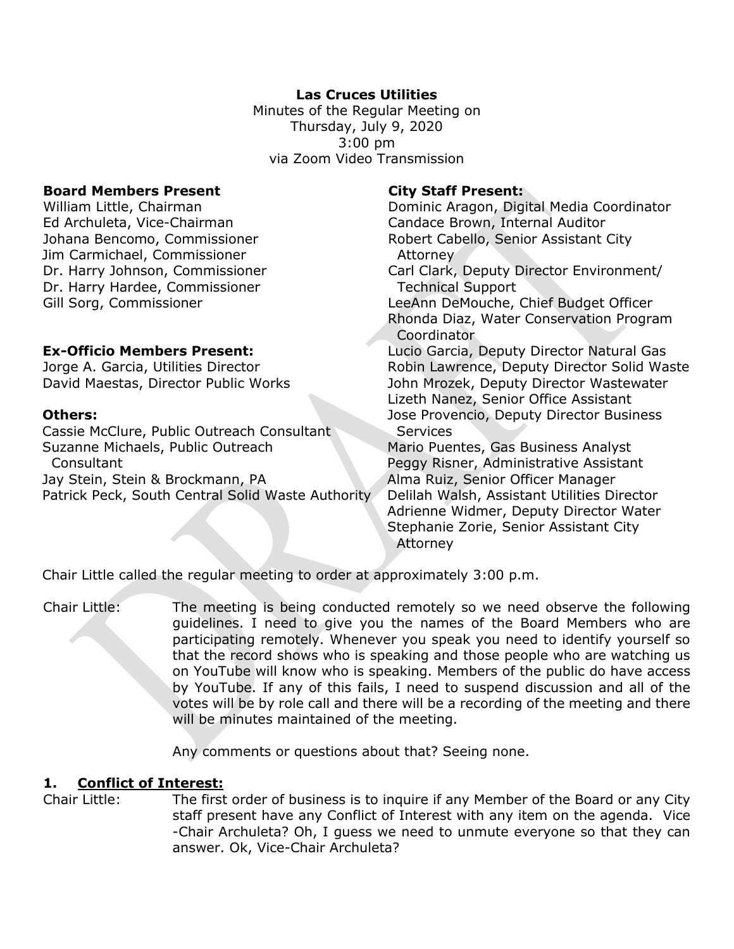# **Las Cruces Utilities**

Minutes of the Regular Meeting on Thursday, July 9, 2020 3:00 pm via Zoom Video Transmission

### **Board Members Present City Staff Present:**

Ed Archuleta, Vice-Chairman Candace Brown, Internal Auditor Jim Carmichael, Commissioner **Attorney** Dr. Harry Hardee, Commissioner Technical Support

Cassie McClure, Public Outreach Consultant Services Suzanne Michaels, Public Outreach Mario Puentes, Gas Business Analyst Consultant **Consultant Peggy Risner, Administrative Assistant** Jay Stein, Stein & Brockmann, PA Alma Ruiz, Senior Officer Manager Patrick Peck, South Central Solid Waste Authority Delilah Walsh, Assistant Utilities Director

William Little, Chairman **Dominic Aragon, Digital Media Coordinator** Johana Bencomo, Commissioner **Robert Cabello, Senior Assistant City** Dr. Harry Johnson, Commissioner Carl Clark, Deputy Director Environment/ Gill Sorg, Commissioner LeeAnn DeMouche, Chief Budget Officer Rhonda Diaz, Water Conservation Program

**Coordinator Ex-Officio Members Present:** Lucio Garcia, Deputy Director Natural Gas Jorge A. Garcia, Utilities Director Robin Lawrence, Deputy Director Solid Waste David Maestas, Director Public Works John Mrozek, Deputy Director Wastewater Lizeth Nanez, Senior Office Assistant **Others: Calculate Contract Contract Contract Contract Contract Contract Deputy Director Business** 

Adrienne Widmer, Deputy Director Water Stephanie Zorie, Senior Assistant City Attorney

Chair Little called the regular meeting to order at approximately 3:00 p.m.

Chair Little: The meeting is being conducted remotely so we need observe the following guidelines. I need to give you the names of the Board Members who are participating remotely. Whenever you speak you need to identify yourself so that the record shows who is speaking and those people who are watching us on YouTube will know who is speaking. Members of the public do have access by YouTube. If any of this fails, I need to suspend discussion and all of the votes will be by role call and there will be a recording of the meeting and there will be minutes maintained of the meeting.

Any comments or questions about that? Seeing none.

## **1. Conflict of Interest:**

Chair Little: The first order of business is to inquire if any Member of the Board or any City staff present have any Conflict of Interest with any item on the agenda. Vice -Chair Archuleta? Oh, I guess we need to unmute everyone so that they can answer. Ok, Vice-Chair Archuleta?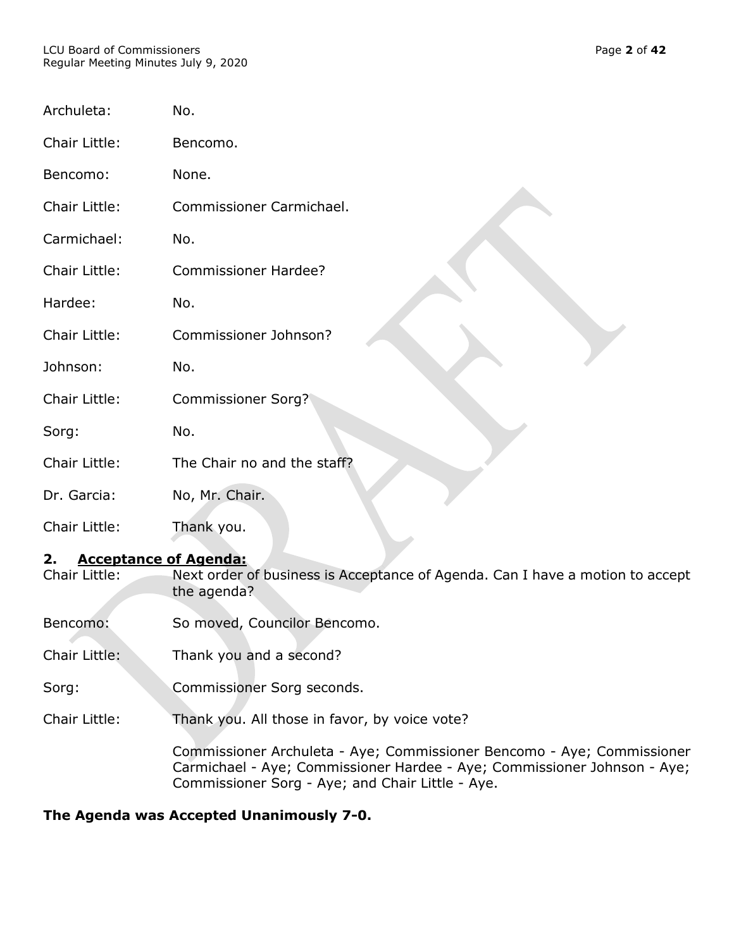#### LCU Board of Commissioners Page **2** of **42** Regular Meeting Minutes July 9, 2020

| Archuleta:           | No.                         |
|----------------------|-----------------------------|
| Chair Little:        | Bencomo.                    |
| Bencomo:             | None.                       |
| Chair Little:        | Commissioner Carmichael.    |
| Carmichael:          | No.                         |
| Chair Little:        | <b>Commissioner Hardee?</b> |
| Hardee:              | No.                         |
| Chair Little:        | Commissioner Johnson?       |
| Johnson:             | No.                         |
| <b>Chair Little:</b> | <b>Commissioner Sorg?</b>   |
| Sorg:                | No.                         |
| <b>Chair Little:</b> | The Chair no and the staff? |
| Dr. Garcia:          | No, Mr. Chair.              |
| Chair Little:        | Thank you.                  |

# **2. Acceptance of Agenda:**

Chair Little: Next order of business is Acceptance of Agenda. Can I have a motion to accept the agenda?

Bencomo: So moved, Councilor Bencomo.

Chair Little: Thank you and a second?

Sorg: Commissioner Sorg seconds.

Chair Little: Thank you. All those in favor, by voice vote?

Commissioner Archuleta - Aye; Commissioner Bencomo - Aye; Commissioner Carmichael - Aye; Commissioner Hardee - Aye; Commissioner Johnson - Aye; Commissioner Sorg - Aye; and Chair Little - Aye.

# **The Agenda was Accepted Unanimously 7-0.**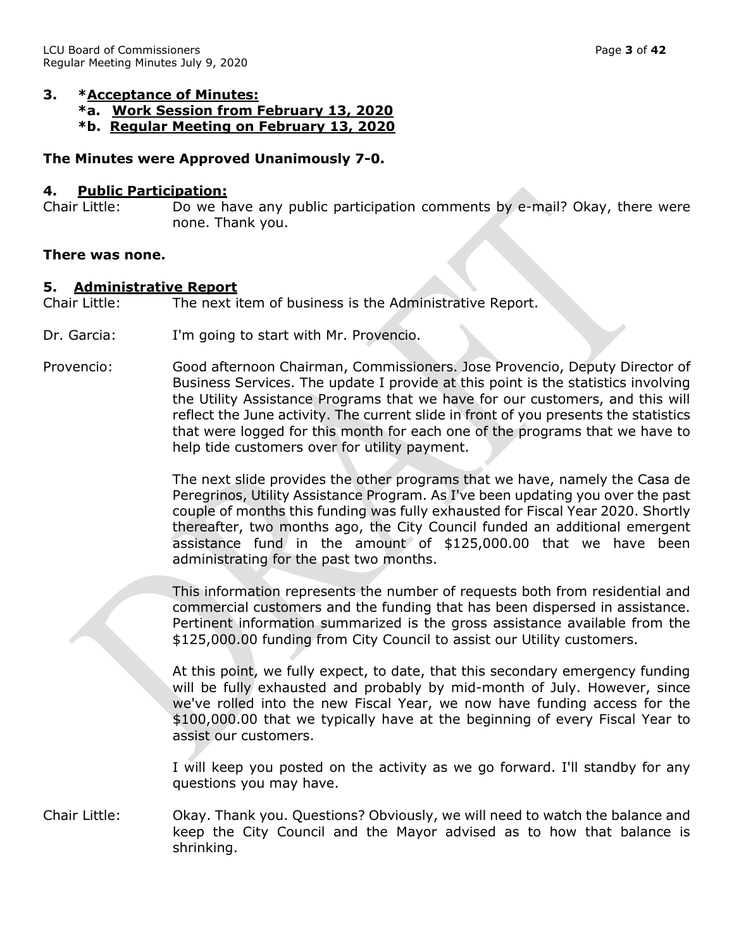### **3. \*Acceptance of Minutes:**

- **\*a. Work Session from February 13, 2020**
- **\*b. Regular Meeting on February 13, 2020**

## **The Minutes were Approved Unanimously 7-0.**

## **4. Public Participation:**

Chair Little: Do we have any public participation comments by e-mail? Okay, there were none. Thank you.

#### **There was none.**

### **5. Administrative Report**

Chair Little: The next item of business is the Administrative Report.

- Dr. Garcia: I'm going to start with Mr. Provencio.
- Provencio: Good afternoon Chairman, Commissioners. Jose Provencio, Deputy Director of Business Services. The update I provide at this point is the statistics involving the Utility Assistance Programs that we have for our customers, and this will reflect the June activity. The current slide in front of you presents the statistics that were logged for this month for each one of the programs that we have to help tide customers over for utility payment.

The next slide provides the other programs that we have, namely the Casa de Peregrinos, Utility Assistance Program. As I've been updating you over the past couple of months this funding was fully exhausted for Fiscal Year 2020. Shortly thereafter, two months ago, the City Council funded an additional emergent assistance fund in the amount of \$125,000.00 that we have been administrating for the past two months.

This information represents the number of requests both from residential and commercial customers and the funding that has been dispersed in assistance. Pertinent information summarized is the gross assistance available from the \$125,000.00 funding from City Council to assist our Utility customers.

At this point, we fully expect, to date, that this secondary emergency funding will be fully exhausted and probably by mid-month of July. However, since we've rolled into the new Fiscal Year, we now have funding access for the \$100,000.00 that we typically have at the beginning of every Fiscal Year to assist our customers.

I will keep you posted on the activity as we go forward. I'll standby for any questions you may have.

Chair Little: Okay. Thank you. Questions? Obviously, we will need to watch the balance and keep the City Council and the Mayor advised as to how that balance is shrinking.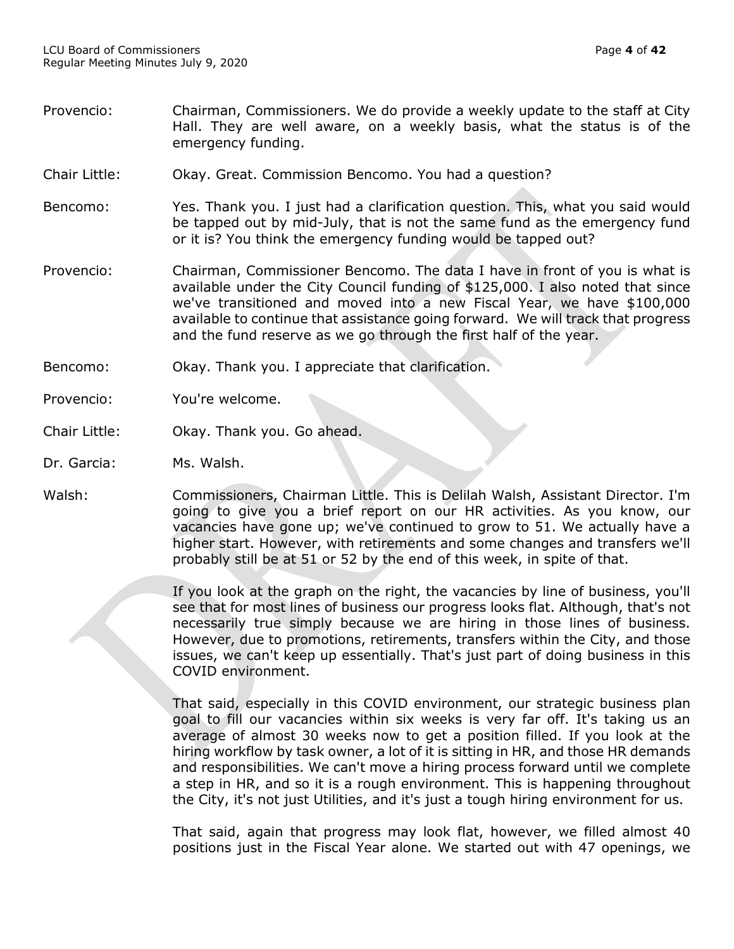- Provencio: Chairman, Commissioners. We do provide a weekly update to the staff at City Hall. They are well aware, on a weekly basis, what the status is of the emergency funding.
- Chair Little: Okay. Great. Commission Bencomo. You had a question?
- Bencomo: Yes. Thank you. I just had a clarification question. This, what you said would be tapped out by mid-July, that is not the same fund as the emergency fund or it is? You think the emergency funding would be tapped out?
- Provencio: Chairman, Commissioner Bencomo. The data I have in front of you is what is available under the City Council funding of \$125,000. I also noted that since we've transitioned and moved into a new Fiscal Year, we have \$100,000 available to continue that assistance going forward. We will track that progress and the fund reserve as we go through the first half of the year.
- Bencomo: Okay. Thank you. I appreciate that clarification.
- Provencio: You're welcome.
- Chair Little: Okay. Thank you. Go ahead.
- Dr. Garcia: Ms. Walsh.
- Walsh: Commissioners, Chairman Little. This is Delilah Walsh, Assistant Director. I'm going to give you a brief report on our HR activities. As you know, our vacancies have gone up; we've continued to grow to 51. We actually have a higher start. However, with retirements and some changes and transfers we'll probably still be at 51 or 52 by the end of this week, in spite of that.

If you look at the graph on the right, the vacancies by line of business, you'll see that for most lines of business our progress looks flat. Although, that's not necessarily true simply because we are hiring in those lines of business. However, due to promotions, retirements, transfers within the City, and those issues, we can't keep up essentially. That's just part of doing business in this COVID environment.

That said, especially in this COVID environment, our strategic business plan goal to fill our vacancies within six weeks is very far off. It's taking us an average of almost 30 weeks now to get a position filled. If you look at the hiring workflow by task owner, a lot of it is sitting in HR, and those HR demands and responsibilities. We can't move a hiring process forward until we complete a step in HR, and so it is a rough environment. This is happening throughout the City, it's not just Utilities, and it's just a tough hiring environment for us.

That said, again that progress may look flat, however, we filled almost 40 positions just in the Fiscal Year alone. We started out with 47 openings, we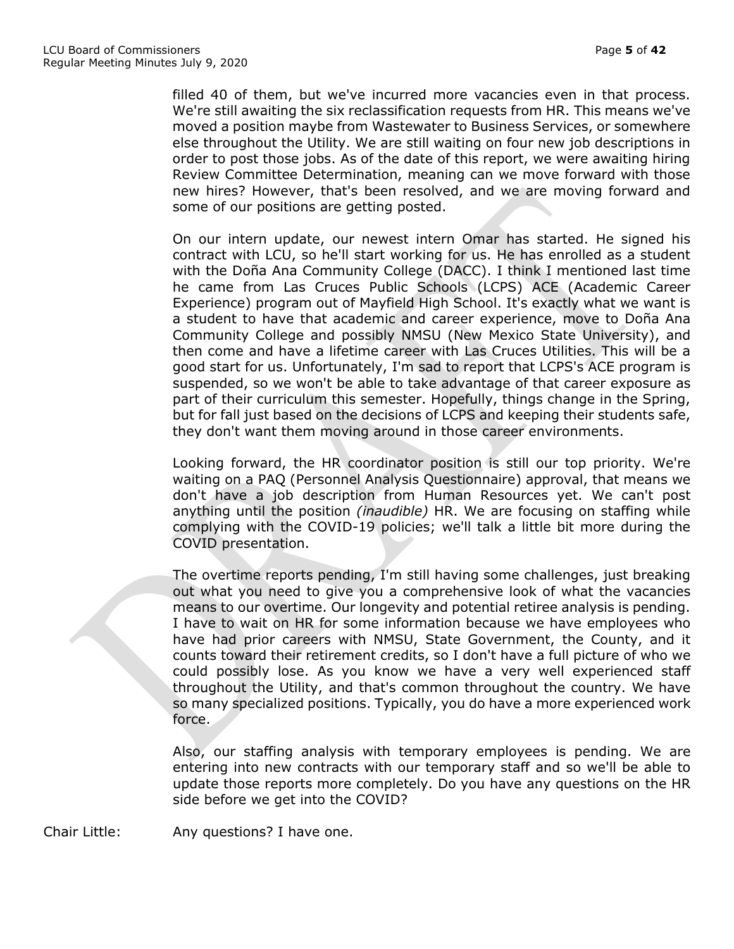filled 40 of them, but we've incurred more vacancies even in that process. We're still awaiting the six reclassification requests from HR. This means we've moved a position maybe from Wastewater to Business Services, or somewhere else throughout the Utility. We are still waiting on four new job descriptions in order to post those jobs. As of the date of this report, we were awaiting hiring Review Committee Determination, meaning can we move forward with those new hires? However, that's been resolved, and we are moving forward and some of our positions are getting posted.

On our intern update, our newest intern Omar has started. He signed his contract with LCU, so he'll start working for us. He has enrolled as a student with the Doña Ana Community College (DACC). I think I mentioned last time he came from Las Cruces Public Schools (LCPS) ACE (Academic Career Experience) program out of Mayfield High School. It's exactly what we want is a student to have that academic and career experience, move to Doña Ana Community College and possibly NMSU (New Mexico State University), and then come and have a lifetime career with Las Cruces Utilities. This will be a good start for us. Unfortunately, I'm sad to report that LCPS's ACE program is suspended, so we won't be able to take advantage of that career exposure as part of their curriculum this semester. Hopefully, things change in the Spring, but for fall just based on the decisions of LCPS and keeping their students safe, they don't want them moving around in those career environments.

Looking forward, the HR coordinator position is still our top priority. We're waiting on a PAQ (Personnel Analysis Questionnaire) approval, that means we don't have a job description from Human Resources yet. We can't post anything until the position *(inaudible)* HR. We are focusing on staffing while complying with the COVID-19 policies; we'll talk a little bit more during the COVID presentation.

The overtime reports pending, I'm still having some challenges, just breaking out what you need to give you a comprehensive look of what the vacancies means to our overtime. Our longevity and potential retiree analysis is pending. I have to wait on HR for some information because we have employees who have had prior careers with NMSU, State Government, the County, and it counts toward their retirement credits, so I don't have a full picture of who we could possibly lose. As you know we have a very well experienced staff throughout the Utility, and that's common throughout the country. We have so many specialized positions. Typically, you do have a more experienced work force.

Also, our staffing analysis with temporary employees is pending. We are entering into new contracts with our temporary staff and so we'll be able to update those reports more completely. Do you have any questions on the HR side before we get into the COVID?

Chair Little: Any questions? I have one.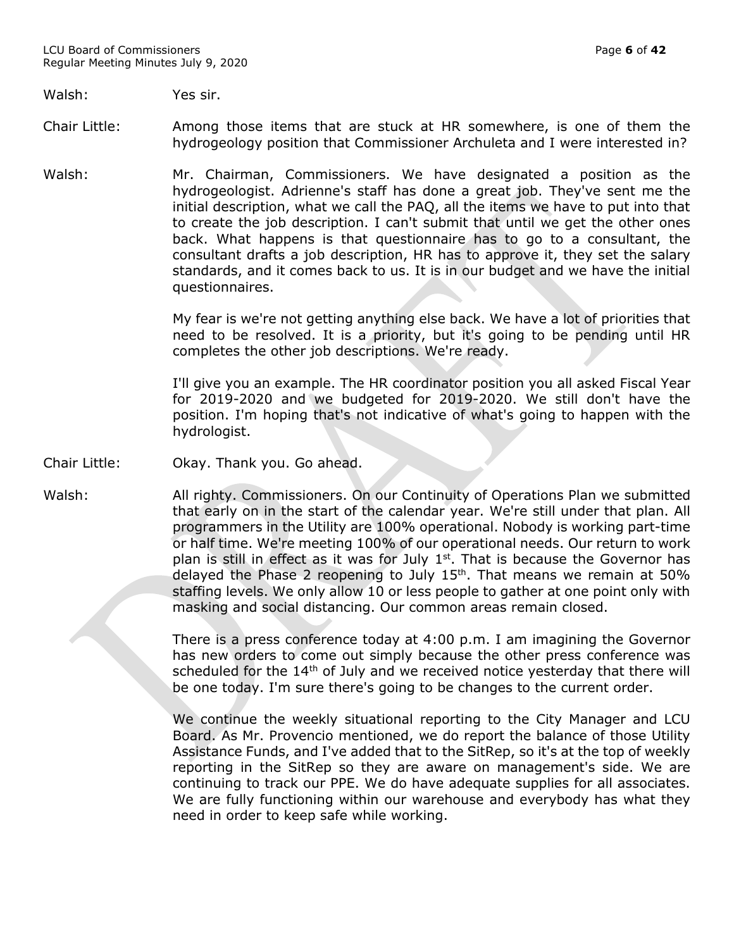#### Walsh: Yes sir.

- Chair Little: Among those items that are stuck at HR somewhere, is one of them the hydrogeology position that Commissioner Archuleta and I were interested in?
- Walsh: Mr. Chairman, Commissioners. We have designated a position as the hydrogeologist. Adrienne's staff has done a great job. They've sent me the initial description, what we call the PAQ, all the items we have to put into that to create the job description. I can't submit that until we get the other ones back. What happens is that questionnaire has to go to a consultant, the consultant drafts a job description, HR has to approve it, they set the salary standards, and it comes back to us. It is in our budget and we have the initial questionnaires.

My fear is we're not getting anything else back. We have a lot of priorities that need to be resolved. It is a priority, but it's going to be pending until HR completes the other job descriptions. We're ready.

I'll give you an example. The HR coordinator position you all asked Fiscal Year for 2019-2020 and we budgeted for 2019-2020. We still don't have the position. I'm hoping that's not indicative of what's going to happen with the hydrologist.

#### Chair Little: Okay. Thank you. Go ahead.

Walsh: All righty. Commissioners. On our Continuity of Operations Plan we submitted that early on in the start of the calendar year. We're still under that plan. All programmers in the Utility are 100% operational. Nobody is working part-time or half time. We're meeting 100% of our operational needs. Our return to work plan is still in effect as it was for July  $1<sup>st</sup>$ . That is because the Governor has delayed the Phase 2 reopening to July  $15<sup>th</sup>$ . That means we remain at 50% staffing levels. We only allow 10 or less people to gather at one point only with masking and social distancing. Our common areas remain closed.

> There is a press conference today at 4:00 p.m. I am imagining the Governor has new orders to come out simply because the other press conference was scheduled for the 14<sup>th</sup> of July and we received notice yesterday that there will be one today. I'm sure there's going to be changes to the current order.

> We continue the weekly situational reporting to the City Manager and LCU Board. As Mr. Provencio mentioned, we do report the balance of those Utility Assistance Funds, and I've added that to the SitRep, so it's at the top of weekly reporting in the SitRep so they are aware on management's side. We are continuing to track our PPE. We do have adequate supplies for all associates. We are fully functioning within our warehouse and everybody has what they need in order to keep safe while working.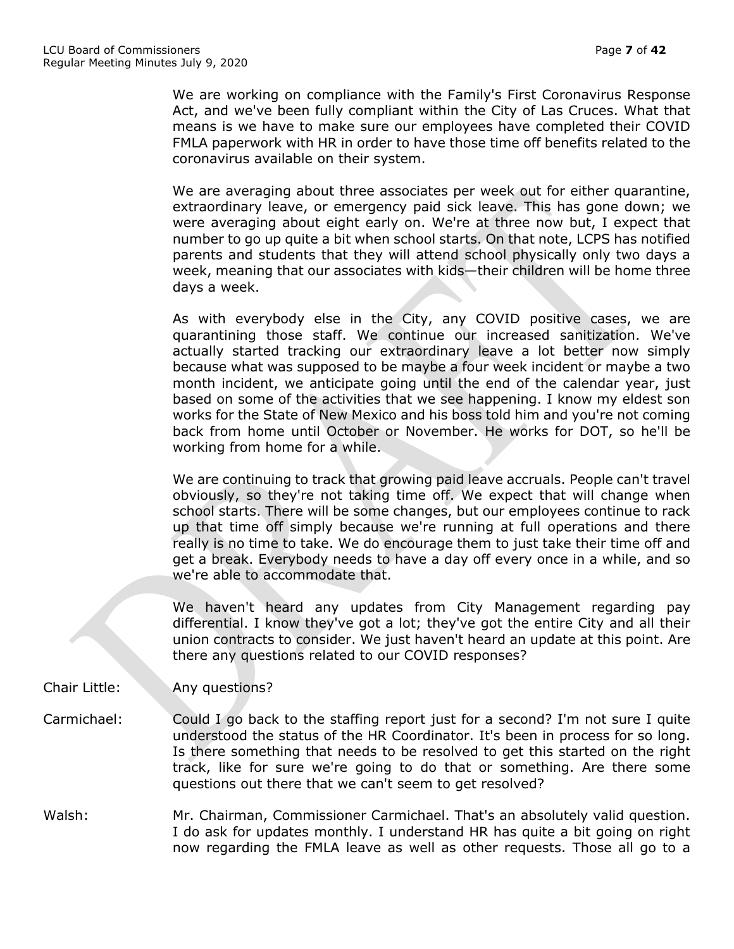We are working on compliance with the Family's First Coronavirus Response Act, and we've been fully compliant within the City of Las Cruces. What that means is we have to make sure our employees have completed their COVID FMLA paperwork with HR in order to have those time off benefits related to the coronavirus available on their system.

We are averaging about three associates per week out for either quarantine, extraordinary leave, or emergency paid sick leave. This has gone down; we were averaging about eight early on. We're at three now but, I expect that number to go up quite a bit when school starts. On that note, LCPS has notified parents and students that they will attend school physically only two days a week, meaning that our associates with kids—their children will be home three days a week.

As with everybody else in the City, any COVID positive cases, we are quarantining those staff. We continue our increased sanitization. We've actually started tracking our extraordinary leave a lot better now simply because what was supposed to be maybe a four week incident or maybe a two month incident, we anticipate going until the end of the calendar year, just based on some of the activities that we see happening. I know my eldest son works for the State of New Mexico and his boss told him and you're not coming back from home until October or November. He works for DOT, so he'll be working from home for a while.

We are continuing to track that growing paid leave accruals. People can't travel obviously, so they're not taking time off. We expect that will change when school starts. There will be some changes, but our employees continue to rack up that time off simply because we're running at full operations and there really is no time to take. We do encourage them to just take their time off and get a break. Everybody needs to have a day off every once in a while, and so we're able to accommodate that.

We haven't heard any updates from City Management regarding pay differential. I know they've got a lot; they've got the entire City and all their union contracts to consider. We just haven't heard an update at this point. Are there any questions related to our COVID responses?

Chair Little: Any questions?

- Carmichael: Could I go back to the staffing report just for a second? I'm not sure I quite understood the status of the HR Coordinator. It's been in process for so long. Is there something that needs to be resolved to get this started on the right track, like for sure we're going to do that or something. Are there some questions out there that we can't seem to get resolved?
- Walsh: Mr. Chairman, Commissioner Carmichael. That's an absolutely valid question. I do ask for updates monthly. I understand HR has quite a bit going on right now regarding the FMLA leave as well as other requests. Those all go to a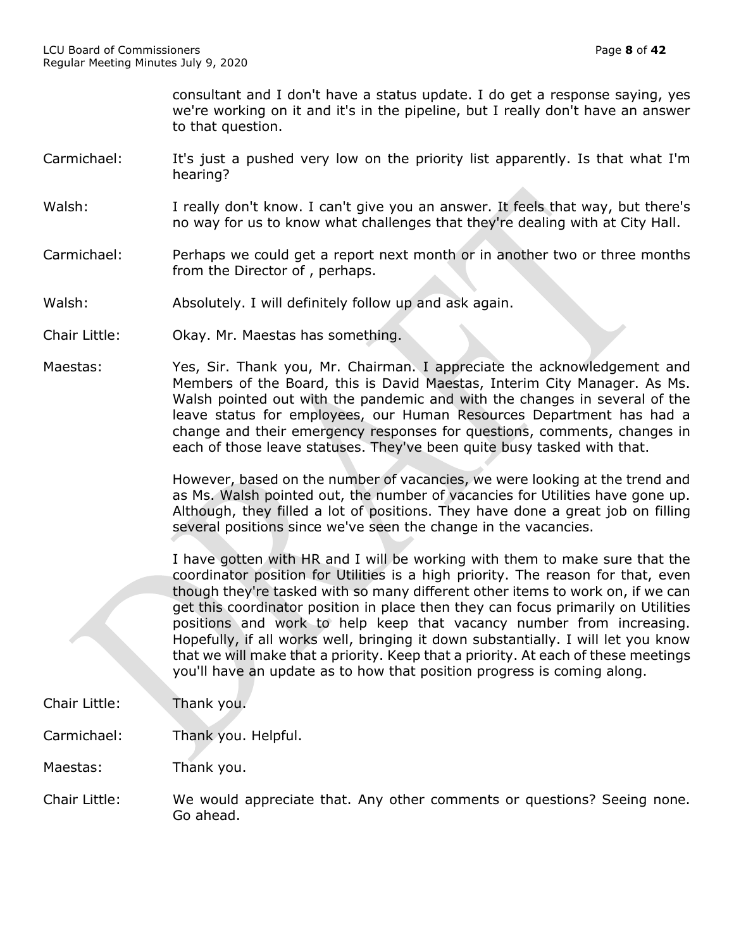consultant and I don't have a status update. I do get a response saying, yes we're working on it and it's in the pipeline, but I really don't have an answer to that question.

- Carmichael: It's just a pushed very low on the priority list apparently. Is that what I'm hearing?
- Walsh: I really don't know. I can't give you an answer. It feels that way, but there's no way for us to know what challenges that they're dealing with at City Hall.
- Carmichael: Perhaps we could get a report next month or in another two or three months from the Director of , perhaps.
- Walsh: Absolutely. I will definitely follow up and ask again.
- Chair Little: Okay. Mr. Maestas has something.
- Maestas: Yes, Sir. Thank you, Mr. Chairman. I appreciate the acknowledgement and Members of the Board, this is David Maestas, Interim City Manager. As Ms. Walsh pointed out with the pandemic and with the changes in several of the leave status for employees, our Human Resources Department has had a change and their emergency responses for questions, comments, changes in each of those leave statuses. They've been quite busy tasked with that.

However, based on the number of vacancies, we were looking at the trend and as Ms. Walsh pointed out, the number of vacancies for Utilities have gone up. Although, they filled a lot of positions. They have done a great job on filling several positions since we've seen the change in the vacancies.

I have gotten with HR and I will be working with them to make sure that the coordinator position for Utilities is a high priority. The reason for that, even though they're tasked with so many different other items to work on, if we can get this coordinator position in place then they can focus primarily on Utilities positions and work to help keep that vacancy number from increasing. Hopefully, if all works well, bringing it down substantially. I will let you know that we will make that a priority. Keep that a priority. At each of these meetings you'll have an update as to how that position progress is coming along.

- Chair Little: Thank you.
- Carmichael: Thank you. Helpful.
- Maestas: Thank you.
- Chair Little: We would appreciate that. Any other comments or questions? Seeing none. Go ahead.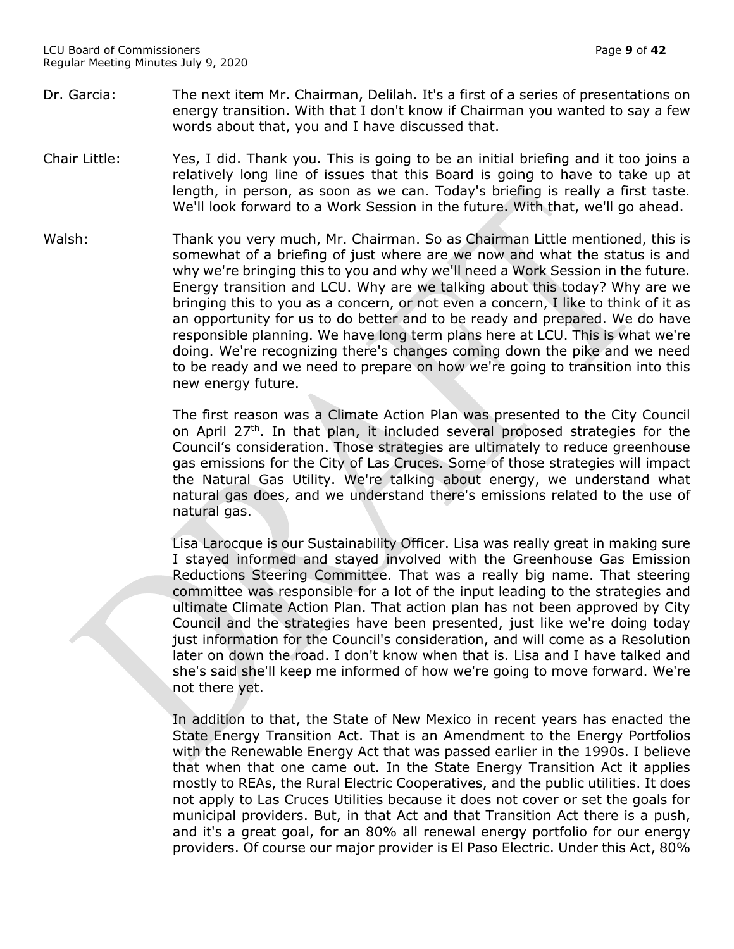- Dr. Garcia: The next item Mr. Chairman, Delilah. It's a first of a series of presentations on energy transition. With that I don't know if Chairman you wanted to say a few words about that, you and I have discussed that.
- Chair Little: Yes, I did. Thank you. This is going to be an initial briefing and it too joins a relatively long line of issues that this Board is going to have to take up at length, in person, as soon as we can. Today's briefing is really a first taste. We'll look forward to a Work Session in the future. With that, we'll go ahead.
- Walsh: Thank you very much, Mr. Chairman. So as Chairman Little mentioned, this is somewhat of a briefing of just where are we now and what the status is and why we're bringing this to you and why we'll need a Work Session in the future. Energy transition and LCU. Why are we talking about this today? Why are we bringing this to you as a concern, or not even a concern, I like to think of it as an opportunity for us to do better and to be ready and prepared. We do have responsible planning. We have long term plans here at LCU. This is what we're doing. We're recognizing there's changes coming down the pike and we need to be ready and we need to prepare on how we're going to transition into this new energy future.

The first reason was a Climate Action Plan was presented to the City Council on April  $27<sup>th</sup>$ . In that plan, it included several proposed strategies for the Council's consideration. Those strategies are ultimately to reduce greenhouse gas emissions for the City of Las Cruces. Some of those strategies will impact the Natural Gas Utility. We're talking about energy, we understand what natural gas does, and we understand there's emissions related to the use of natural gas.

Lisa Larocque is our Sustainability Officer. Lisa was really great in making sure I stayed informed and stayed involved with the Greenhouse Gas Emission Reductions Steering Committee. That was a really big name. That steering committee was responsible for a lot of the input leading to the strategies and ultimate Climate Action Plan. That action plan has not been approved by City Council and the strategies have been presented, just like we're doing today just information for the Council's consideration, and will come as a Resolution later on down the road. I don't know when that is. Lisa and I have talked and she's said she'll keep me informed of how we're going to move forward. We're not there yet.

In addition to that, the State of New Mexico in recent years has enacted the State Energy Transition Act. That is an Amendment to the Energy Portfolios with the Renewable Energy Act that was passed earlier in the 1990s. I believe that when that one came out. In the State Energy Transition Act it applies mostly to REAs, the Rural Electric Cooperatives, and the public utilities. It does not apply to Las Cruces Utilities because it does not cover or set the goals for municipal providers. But, in that Act and that Transition Act there is a push, and it's a great goal, for an 80% all renewal energy portfolio for our energy providers. Of course our major provider is El Paso Electric. Under this Act, 80%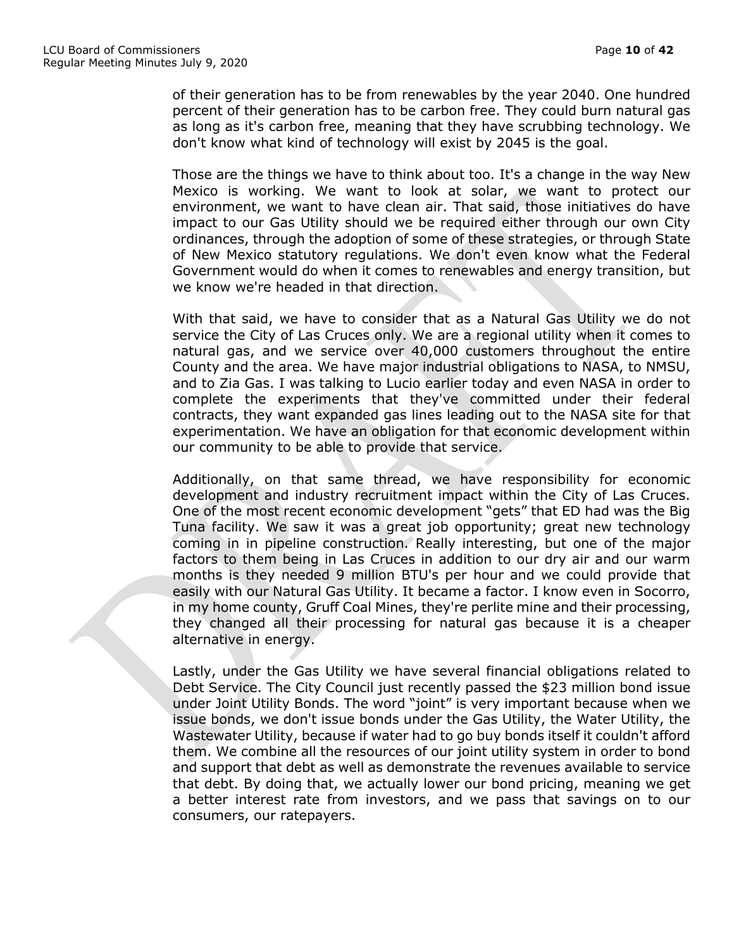of their generation has to be from renewables by the year 2040. One hundred percent of their generation has to be carbon free. They could burn natural gas as long as it's carbon free, meaning that they have scrubbing technology. We don't know what kind of technology will exist by 2045 is the goal.

Those are the things we have to think about too. It's a change in the way New Mexico is working. We want to look at solar, we want to protect our environment, we want to have clean air. That said, those initiatives do have impact to our Gas Utility should we be required either through our own City ordinances, through the adoption of some of these strategies, or through State of New Mexico statutory regulations. We don't even know what the Federal Government would do when it comes to renewables and energy transition, but we know we're headed in that direction.

With that said, we have to consider that as a Natural Gas Utility we do not service the City of Las Cruces only. We are a regional utility when it comes to natural gas, and we service over 40,000 customers throughout the entire County and the area. We have major industrial obligations to NASA, to NMSU, and to Zia Gas. I was talking to Lucio earlier today and even NASA in order to complete the experiments that they've committed under their federal contracts, they want expanded gas lines leading out to the NASA site for that experimentation. We have an obligation for that economic development within our community to be able to provide that service.

Additionally, on that same thread, we have responsibility for economic development and industry recruitment impact within the City of Las Cruces. One of the most recent economic development "gets" that ED had was the Big Tuna facility. We saw it was a great job opportunity; great new technology coming in in pipeline construction. Really interesting, but one of the major factors to them being in Las Cruces in addition to our dry air and our warm months is they needed 9 million BTU's per hour and we could provide that easily with our Natural Gas Utility. It became a factor. I know even in Socorro, in my home county, Gruff Coal Mines, they're perlite mine and their processing, they changed all their processing for natural gas because it is a cheaper alternative in energy.

Lastly, under the Gas Utility we have several financial obligations related to Debt Service. The City Council just recently passed the \$23 million bond issue under Joint Utility Bonds. The word "joint" is very important because when we issue bonds, we don't issue bonds under the Gas Utility, the Water Utility, the Wastewater Utility, because if water had to go buy bonds itself it couldn't afford them. We combine all the resources of our joint utility system in order to bond and support that debt as well as demonstrate the revenues available to service that debt. By doing that, we actually lower our bond pricing, meaning we get a better interest rate from investors, and we pass that savings on to our consumers, our ratepayers.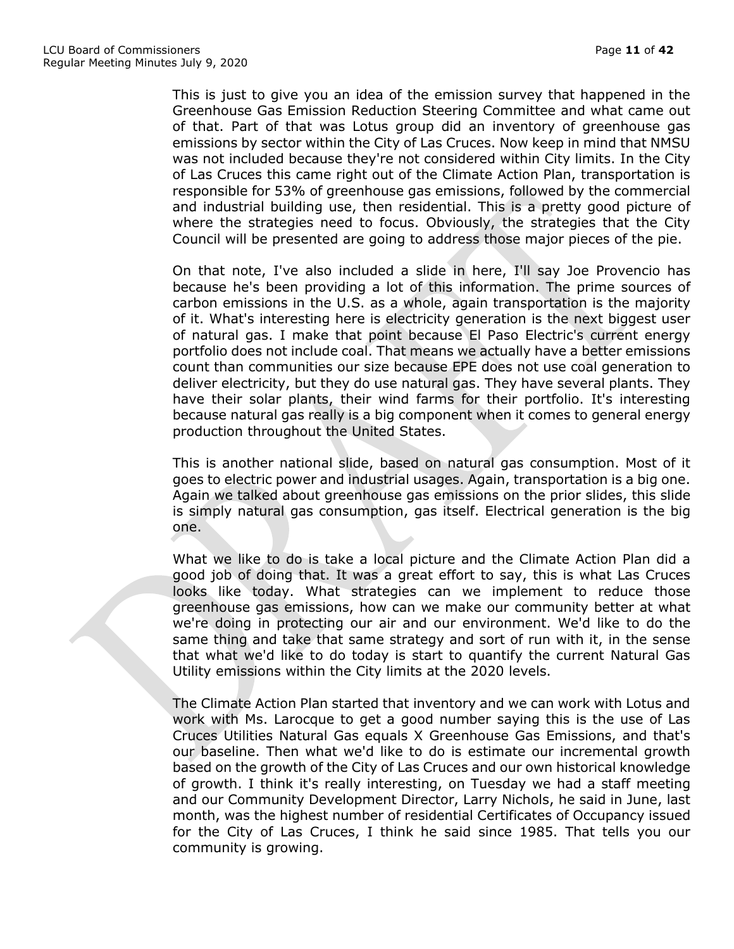This is just to give you an idea of the emission survey that happened in the Greenhouse Gas Emission Reduction Steering Committee and what came out of that. Part of that was Lotus group did an inventory of greenhouse gas emissions by sector within the City of Las Cruces. Now keep in mind that NMSU was not included because they're not considered within City limits. In the City of Las Cruces this came right out of the Climate Action Plan, transportation is responsible for 53% of greenhouse gas emissions, followed by the commercial and industrial building use, then residential. This is a pretty good picture of where the strategies need to focus. Obviously, the strategies that the City Council will be presented are going to address those major pieces of the pie.

On that note, I've also included a slide in here, I'll say Joe Provencio has because he's been providing a lot of this information. The prime sources of carbon emissions in the U.S. as a whole, again transportation is the majority of it. What's interesting here is electricity generation is the next biggest user of natural gas. I make that point because El Paso Electric's current energy portfolio does not include coal. That means we actually have a better emissions count than communities our size because EPE does not use coal generation to deliver electricity, but they do use natural gas. They have several plants. They have their solar plants, their wind farms for their portfolio. It's interesting because natural gas really is a big component when it comes to general energy production throughout the United States.

This is another national slide, based on natural gas consumption. Most of it goes to electric power and industrial usages. Again, transportation is a big one. Again we talked about greenhouse gas emissions on the prior slides, this slide is simply natural gas consumption, gas itself. Electrical generation is the big one.

What we like to do is take a local picture and the Climate Action Plan did a good job of doing that. It was a great effort to say, this is what Las Cruces looks like today. What strategies can we implement to reduce those greenhouse gas emissions, how can we make our community better at what we're doing in protecting our air and our environment. We'd like to do the same thing and take that same strategy and sort of run with it, in the sense that what we'd like to do today is start to quantify the current Natural Gas Utility emissions within the City limits at the 2020 levels.

The Climate Action Plan started that inventory and we can work with Lotus and work with Ms. Larocque to get a good number saying this is the use of Las Cruces Utilities Natural Gas equals X Greenhouse Gas Emissions, and that's our baseline. Then what we'd like to do is estimate our incremental growth based on the growth of the City of Las Cruces and our own historical knowledge of growth. I think it's really interesting, on Tuesday we had a staff meeting and our Community Development Director, Larry Nichols, he said in June, last month, was the highest number of residential Certificates of Occupancy issued for the City of Las Cruces, I think he said since 1985. That tells you our community is growing.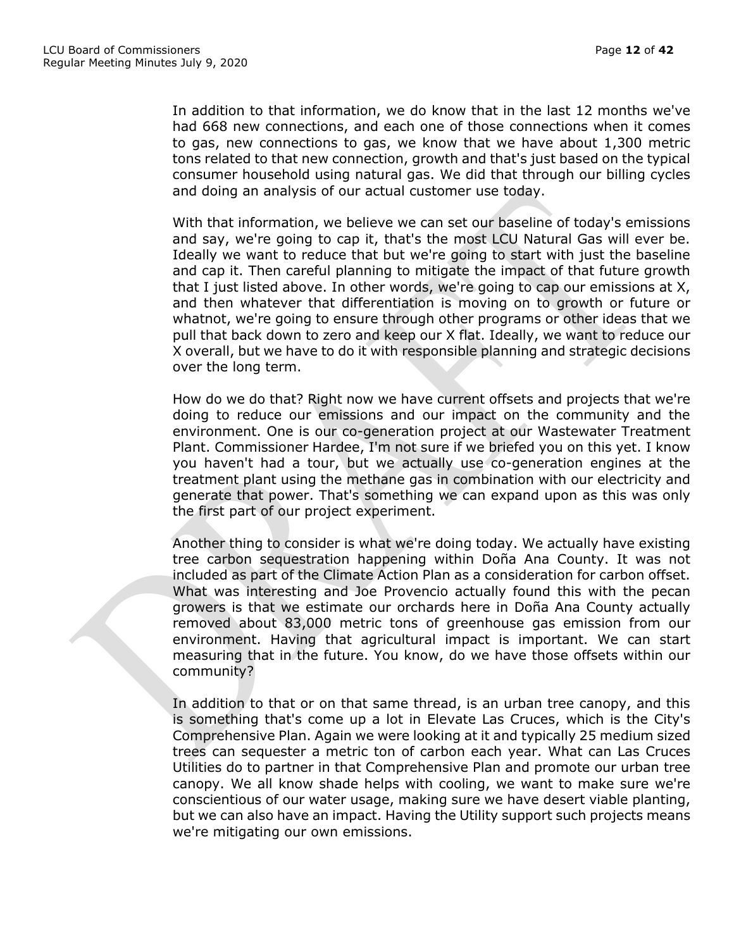In addition to that information, we do know that in the last 12 months we've had 668 new connections, and each one of those connections when it comes to gas, new connections to gas, we know that we have about 1,300 metric tons related to that new connection, growth and that's just based on the typical consumer household using natural gas. We did that through our billing cycles and doing an analysis of our actual customer use today.

With that information, we believe we can set our baseline of today's emissions and say, we're going to cap it, that's the most LCU Natural Gas will ever be. Ideally we want to reduce that but we're going to start with just the baseline and cap it. Then careful planning to mitigate the impact of that future growth that I just listed above. In other words, we're going to cap our emissions at X, and then whatever that differentiation is moving on to growth or future or whatnot, we're going to ensure through other programs or other ideas that we pull that back down to zero and keep our X flat. Ideally, we want to reduce our X overall, but we have to do it with responsible planning and strategic decisions over the long term.

How do we do that? Right now we have current offsets and projects that we're doing to reduce our emissions and our impact on the community and the environment. One is our co-generation project at our Wastewater Treatment Plant. Commissioner Hardee, I'm not sure if we briefed you on this yet. I know you haven't had a tour, but we actually use co-generation engines at the treatment plant using the methane gas in combination with our electricity and generate that power. That's something we can expand upon as this was only the first part of our project experiment.

Another thing to consider is what we're doing today. We actually have existing tree carbon sequestration happening within Doña Ana County. It was not included as part of the Climate Action Plan as a consideration for carbon offset. What was interesting and Joe Provencio actually found this with the pecan growers is that we estimate our orchards here in Doña Ana County actually removed about 83,000 metric tons of greenhouse gas emission from our environment. Having that agricultural impact is important. We can start measuring that in the future. You know, do we have those offsets within our community?

In addition to that or on that same thread, is an urban tree canopy, and this is something that's come up a lot in Elevate Las Cruces, which is the City's Comprehensive Plan. Again we were looking at it and typically 25 medium sized trees can sequester a metric ton of carbon each year. What can Las Cruces Utilities do to partner in that Comprehensive Plan and promote our urban tree canopy. We all know shade helps with cooling, we want to make sure we're conscientious of our water usage, making sure we have desert viable planting, but we can also have an impact. Having the Utility support such projects means we're mitigating our own emissions.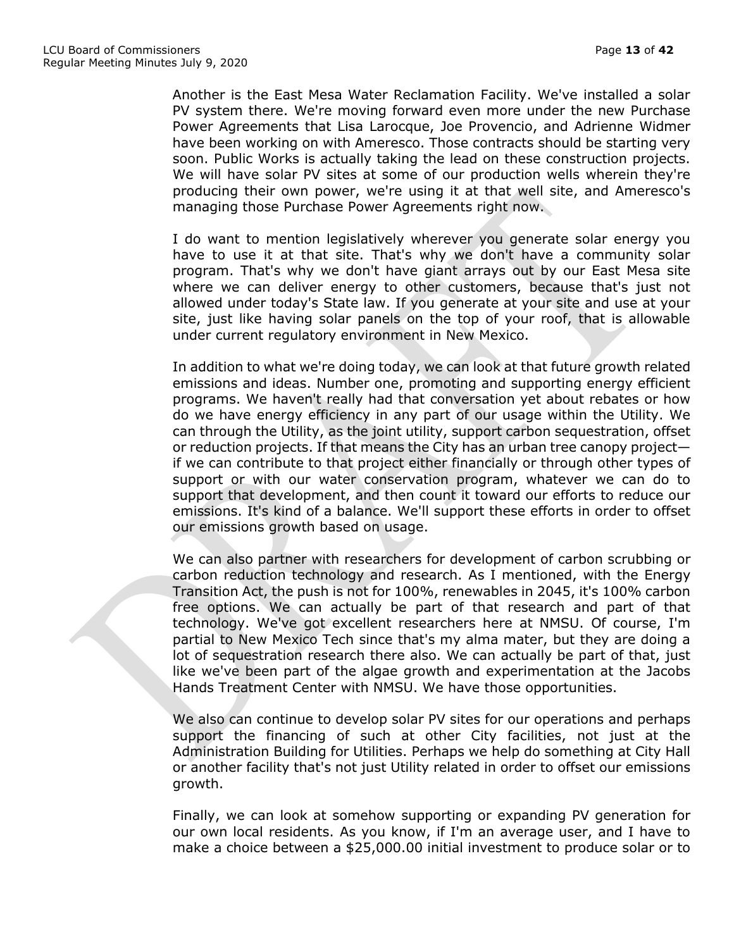Another is the East Mesa Water Reclamation Facility. We've installed a solar PV system there. We're moving forward even more under the new Purchase Power Agreements that Lisa Larocque, Joe Provencio, and Adrienne Widmer have been working on with Ameresco. Those contracts should be starting very soon. Public Works is actually taking the lead on these construction projects. We will have solar PV sites at some of our production wells wherein they're producing their own power, we're using it at that well site, and Ameresco's managing those Purchase Power Agreements right now.

I do want to mention legislatively wherever you generate solar energy you have to use it at that site. That's why we don't have a community solar program. That's why we don't have giant arrays out by our East Mesa site where we can deliver energy to other customers, because that's just not allowed under today's State law. If you generate at your site and use at your site, just like having solar panels on the top of your roof, that is allowable under current regulatory environment in New Mexico.

In addition to what we're doing today, we can look at that future growth related emissions and ideas. Number one, promoting and supporting energy efficient programs. We haven't really had that conversation yet about rebates or how do we have energy efficiency in any part of our usage within the Utility. We can through the Utility, as the joint utility, support carbon sequestration, offset or reduction projects. If that means the City has an urban tree canopy project if we can contribute to that project either financially or through other types of support or with our water conservation program, whatever we can do to support that development, and then count it toward our efforts to reduce our emissions. It's kind of a balance. We'll support these efforts in order to offset our emissions growth based on usage.

We can also partner with researchers for development of carbon scrubbing or carbon reduction technology and research. As I mentioned, with the Energy Transition Act, the push is not for 100%, renewables in 2045, it's 100% carbon free options. We can actually be part of that research and part of that technology. We've got excellent researchers here at NMSU. Of course, I'm partial to New Mexico Tech since that's my alma mater, but they are doing a lot of sequestration research there also. We can actually be part of that, just like we've been part of the algae growth and experimentation at the Jacobs Hands Treatment Center with NMSU. We have those opportunities.

We also can continue to develop solar PV sites for our operations and perhaps support the financing of such at other City facilities, not just at the Administration Building for Utilities. Perhaps we help do something at City Hall or another facility that's not just Utility related in order to offset our emissions growth.

Finally, we can look at somehow supporting or expanding PV generation for our own local residents. As you know, if I'm an average user, and I have to make a choice between a \$25,000.00 initial investment to produce solar or to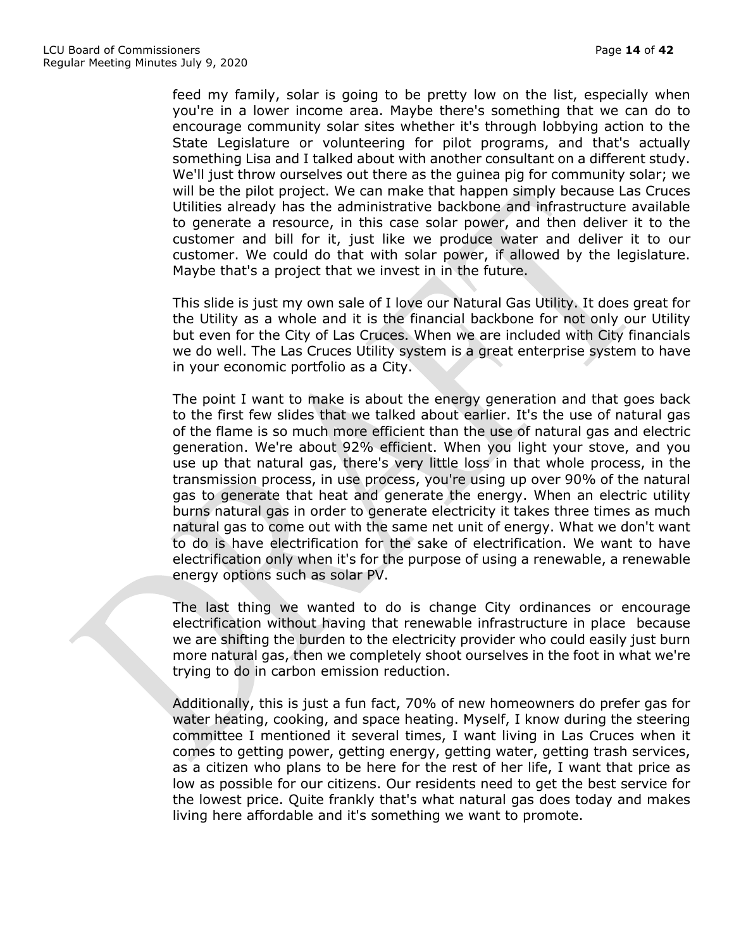feed my family, solar is going to be pretty low on the list, especially when you're in a lower income area. Maybe there's something that we can do to encourage community solar sites whether it's through lobbying action to the State Legislature or volunteering for pilot programs, and that's actually something Lisa and I talked about with another consultant on a different study. We'll just throw ourselves out there as the guinea pig for community solar; we will be the pilot project. We can make that happen simply because Las Cruces Utilities already has the administrative backbone and infrastructure available to generate a resource, in this case solar power, and then deliver it to the customer and bill for it, just like we produce water and deliver it to our customer. We could do that with solar power, if allowed by the legislature. Maybe that's a project that we invest in in the future.

This slide is just my own sale of I love our Natural Gas Utility. It does great for the Utility as a whole and it is the financial backbone for not only our Utility but even for the City of Las Cruces. When we are included with City financials we do well. The Las Cruces Utility system is a great enterprise system to have in your economic portfolio as a City.

The point I want to make is about the energy generation and that goes back to the first few slides that we talked about earlier. It's the use of natural gas of the flame is so much more efficient than the use of natural gas and electric generation. We're about 92% efficient. When you light your stove, and you use up that natural gas, there's very little loss in that whole process, in the transmission process, in use process, you're using up over 90% of the natural gas to generate that heat and generate the energy. When an electric utility burns natural gas in order to generate electricity it takes three times as much natural gas to come out with the same net unit of energy. What we don't want to do is have electrification for the sake of electrification. We want to have electrification only when it's for the purpose of using a renewable, a renewable energy options such as solar PV.

The last thing we wanted to do is change City ordinances or encourage electrification without having that renewable infrastructure in place because we are shifting the burden to the electricity provider who could easily just burn more natural gas, then we completely shoot ourselves in the foot in what we're trying to do in carbon emission reduction.

Additionally, this is just a fun fact, 70% of new homeowners do prefer gas for water heating, cooking, and space heating. Myself, I know during the steering committee I mentioned it several times, I want living in Las Cruces when it comes to getting power, getting energy, getting water, getting trash services, as a citizen who plans to be here for the rest of her life, I want that price as low as possible for our citizens. Our residents need to get the best service for the lowest price. Quite frankly that's what natural gas does today and makes living here affordable and it's something we want to promote.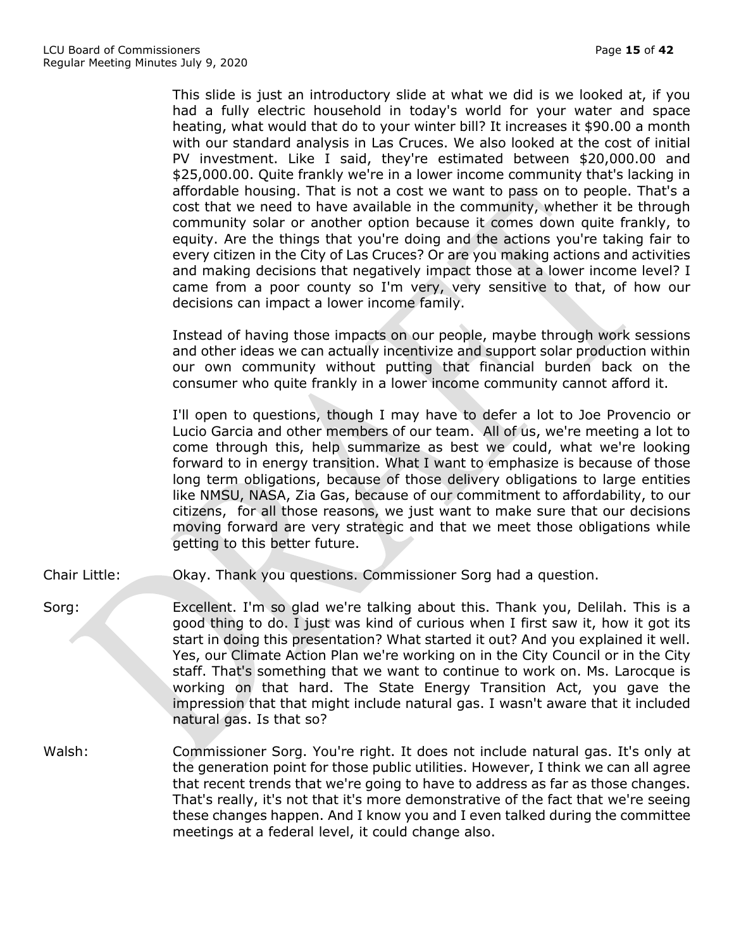This slide is just an introductory slide at what we did is we looked at, if you had a fully electric household in today's world for your water and space heating, what would that do to your winter bill? It increases it \$90.00 a month with our standard analysis in Las Cruces. We also looked at the cost of initial PV investment. Like I said, they're estimated between \$20,000.00 and \$25,000.00. Quite frankly we're in a lower income community that's lacking in affordable housing. That is not a cost we want to pass on to people. That's a cost that we need to have available in the community, whether it be through community solar or another option because it comes down quite frankly, to equity. Are the things that you're doing and the actions you're taking fair to every citizen in the City of Las Cruces? Or are you making actions and activities and making decisions that negatively impact those at a lower income level? I came from a poor county so I'm very, very sensitive to that, of how our decisions can impact a lower income family.

Instead of having those impacts on our people, maybe through work sessions and other ideas we can actually incentivize and support solar production within our own community without putting that financial burden back on the consumer who quite frankly in a lower income community cannot afford it.

I'll open to questions, though I may have to defer a lot to Joe Provencio or Lucio Garcia and other members of our team. All of us, we're meeting a lot to come through this, help summarize as best we could, what we're looking forward to in energy transition. What I want to emphasize is because of those long term obligations, because of those delivery obligations to large entities like NMSU, NASA, Zia Gas, because of our commitment to affordability, to our citizens, for all those reasons, we just want to make sure that our decisions moving forward are very strategic and that we meet those obligations while getting to this better future.

- Chair Little: Okay. Thank you questions. Commissioner Sorg had a question.
- Sorg: Excellent. I'm so glad we're talking about this. Thank you, Delilah. This is a good thing to do. I just was kind of curious when I first saw it, how it got its start in doing this presentation? What started it out? And you explained it well. Yes, our Climate Action Plan we're working on in the City Council or in the City staff. That's something that we want to continue to work on. Ms. Larocque is working on that hard. The State Energy Transition Act, you gave the impression that that might include natural gas. I wasn't aware that it included natural gas. Is that so?
- Walsh: Commissioner Sorg. You're right. It does not include natural gas. It's only at the generation point for those public utilities. However, I think we can all agree that recent trends that we're going to have to address as far as those changes. That's really, it's not that it's more demonstrative of the fact that we're seeing these changes happen. And I know you and I even talked during the committee meetings at a federal level, it could change also.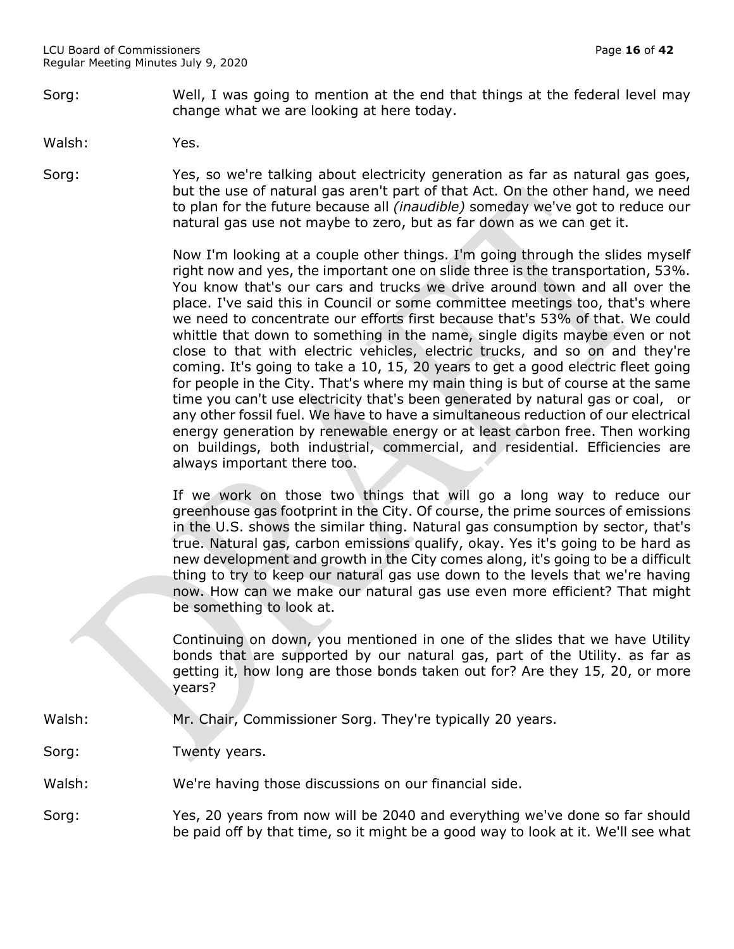Sorg: Well, I was going to mention at the end that things at the federal level may change what we are looking at here today.

Walsh: Yes.

Sorg: Yes, so we're talking about electricity generation as far as natural gas goes, but the use of natural gas aren't part of that Act. On the other hand, we need to plan for the future because all *(inaudible)* someday we've got to reduce our natural gas use not maybe to zero, but as far down as we can get it.

> Now I'm looking at a couple other things. I'm going through the slides myself right now and yes, the important one on slide three is the transportation, 53%. You know that's our cars and trucks we drive around town and all over the place. I've said this in Council or some committee meetings too, that's where we need to concentrate our efforts first because that's 53% of that. We could whittle that down to something in the name, single digits maybe even or not close to that with electric vehicles, electric trucks, and so on and they're coming. It's going to take a 10, 15, 20 years to get a good electric fleet going for people in the City. That's where my main thing is but of course at the same time you can't use electricity that's been generated by natural gas or coal, or any other fossil fuel. We have to have a simultaneous reduction of our electrical energy generation by renewable energy or at least carbon free. Then working on buildings, both industrial, commercial, and residential. Efficiencies are always important there too.

> If we work on those two things that will go a long way to reduce our greenhouse gas footprint in the City. Of course, the prime sources of emissions in the U.S. shows the similar thing. Natural gas consumption by sector, that's true. Natural gas, carbon emissions qualify, okay. Yes it's going to be hard as new development and growth in the City comes along, it's going to be a difficult thing to try to keep our natural gas use down to the levels that we're having now. How can we make our natural gas use even more efficient? That might be something to look at.

> Continuing on down, you mentioned in one of the slides that we have Utility bonds that are supported by our natural gas, part of the Utility. as far as getting it, how long are those bonds taken out for? Are they 15, 20, or more years?

- Walsh: Mr. Chair, Commissioner Sorg. They're typically 20 years.
- Sorg: Twenty years.

Walsh: We're having those discussions on our financial side.

Sorg: Yes, 20 years from now will be 2040 and everything we've done so far should be paid off by that time, so it might be a good way to look at it. We'll see what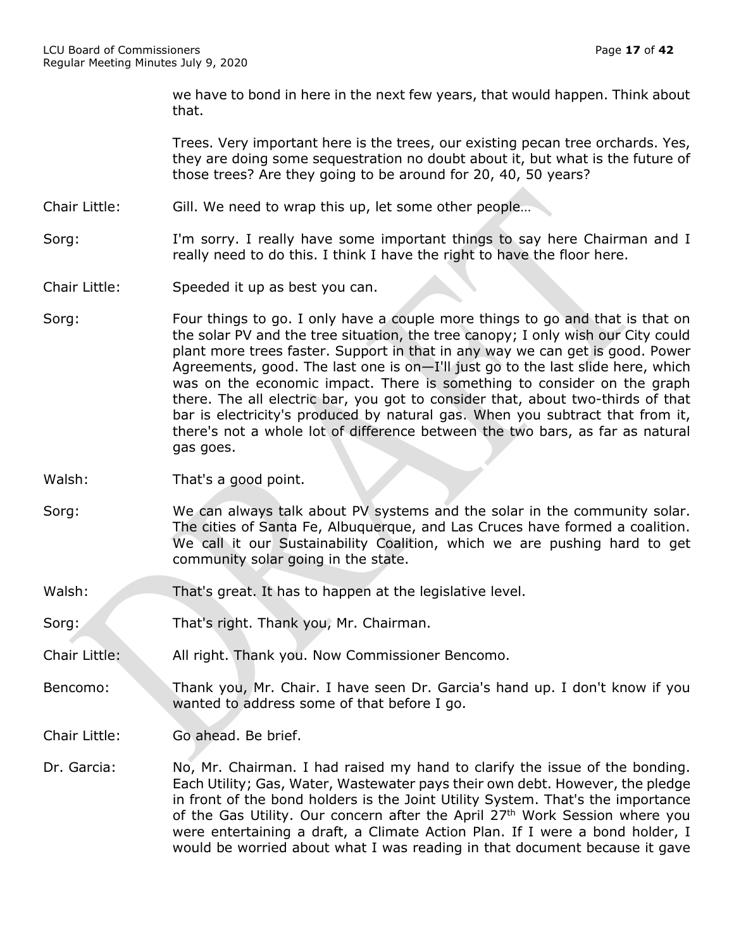we have to bond in here in the next few years, that would happen. Think about that.

Trees. Very important here is the trees, our existing pecan tree orchards. Yes, they are doing some sequestration no doubt about it, but what is the future of those trees? Are they going to be around for 20, 40, 50 years?

- Chair Little: Gill. We need to wrap this up, let some other people…
- Sorg: I'm sorry. I really have some important things to say here Chairman and I really need to do this. I think I have the right to have the floor here.
- Chair Little: Speeded it up as best you can.
- Sorg: Four things to go. I only have a couple more things to go and that is that on the solar PV and the tree situation, the tree canopy; I only wish our City could plant more trees faster. Support in that in any way we can get is good. Power Agreements, good. The last one is on—I'll just go to the last slide here, which was on the economic impact. There is something to consider on the graph there. The all electric bar, you got to consider that, about two-thirds of that bar is electricity's produced by natural gas. When you subtract that from it, there's not a whole lot of difference between the two bars, as far as natural gas goes.
- Walsh: That's a good point.
- Sorg: We can always talk about PV systems and the solar in the community solar. The cities of Santa Fe, Albuquerque, and Las Cruces have formed a coalition. We call it our Sustainability Coalition, which we are pushing hard to get community solar going in the state.
- Walsh: That's great. It has to happen at the legislative level.
- Sorg: That's right. Thank you, Mr. Chairman.
- Chair Little: All right. Thank you. Now Commissioner Bencomo.
- Bencomo: Thank you, Mr. Chair. I have seen Dr. Garcia's hand up. I don't know if you wanted to address some of that before I go.
- Chair Little: Go ahead. Be brief.
- Dr. Garcia: No, Mr. Chairman. I had raised my hand to clarify the issue of the bonding. Each Utility; Gas, Water, Wastewater pays their own debt. However, the pledge in front of the bond holders is the Joint Utility System. That's the importance of the Gas Utility. Our concern after the April 27<sup>th</sup> Work Session where you were entertaining a draft, a Climate Action Plan. If I were a bond holder, I would be worried about what I was reading in that document because it gave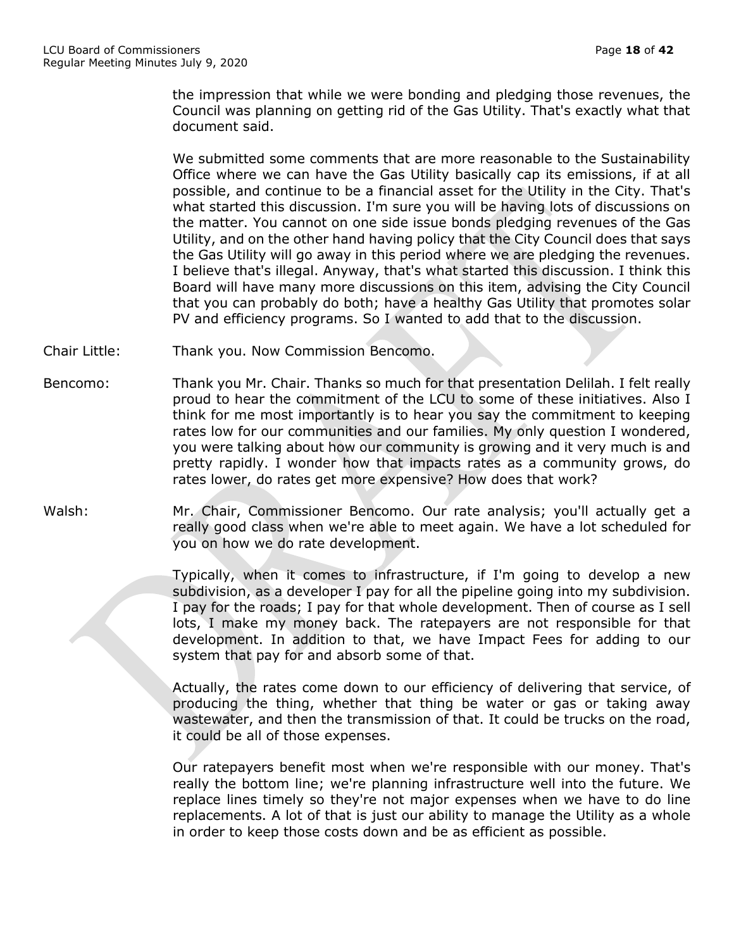the impression that while we were bonding and pledging those revenues, the Council was planning on getting rid of the Gas Utility. That's exactly what that document said.

We submitted some comments that are more reasonable to the Sustainability Office where we can have the Gas Utility basically cap its emissions, if at all possible, and continue to be a financial asset for the Utility in the City. That's what started this discussion. I'm sure you will be having lots of discussions on the matter. You cannot on one side issue bonds pledging revenues of the Gas Utility, and on the other hand having policy that the City Council does that says the Gas Utility will go away in this period where we are pledging the revenues. I believe that's illegal. Anyway, that's what started this discussion. I think this Board will have many more discussions on this item, advising the City Council that you can probably do both; have a healthy Gas Utility that promotes solar PV and efficiency programs. So I wanted to add that to the discussion.

- Chair Little: Thank you. Now Commission Bencomo.
- Bencomo: Thank you Mr. Chair. Thanks so much for that presentation Delilah. I felt really proud to hear the commitment of the LCU to some of these initiatives. Also I think for me most importantly is to hear you say the commitment to keeping rates low for our communities and our families. My only question I wondered, you were talking about how our community is growing and it very much is and pretty rapidly. I wonder how that impacts rates as a community grows, do rates lower, do rates get more expensive? How does that work?
- Walsh: Mr. Chair, Commissioner Bencomo. Our rate analysis; you'll actually get a really good class when we're able to meet again. We have a lot scheduled for you on how we do rate development.

Typically, when it comes to infrastructure, if I'm going to develop a new subdivision, as a developer I pay for all the pipeline going into my subdivision. I pay for the roads; I pay for that whole development. Then of course as I sell lots, I make my money back. The ratepayers are not responsible for that development. In addition to that, we have Impact Fees for adding to our system that pay for and absorb some of that.

Actually, the rates come down to our efficiency of delivering that service, of producing the thing, whether that thing be water or gas or taking away wastewater, and then the transmission of that. It could be trucks on the road, it could be all of those expenses.

Our ratepayers benefit most when we're responsible with our money. That's really the bottom line; we're planning infrastructure well into the future. We replace lines timely so they're not major expenses when we have to do line replacements. A lot of that is just our ability to manage the Utility as a whole in order to keep those costs down and be as efficient as possible.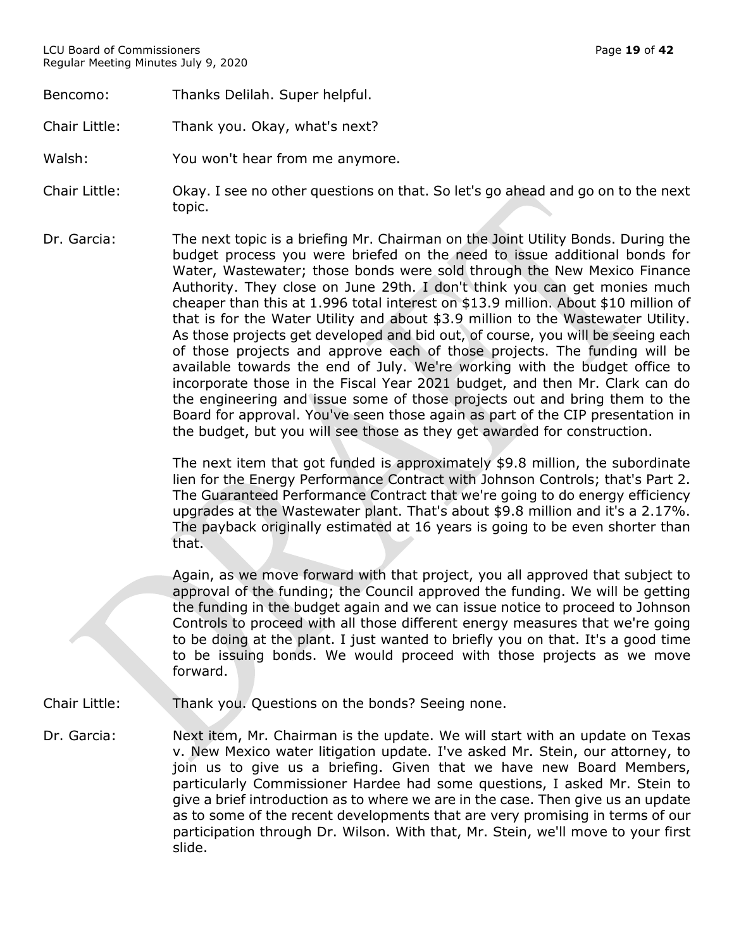Bencomo: Thanks Delilah. Super helpful.

Chair Little: Thank you. Okay, what's next?

- Walsh: You won't hear from me anymore.
- Chair Little: Okay. I see no other questions on that. So let's go ahead and go on to the next topic.
- Dr. Garcia: The next topic is a briefing Mr. Chairman on the Joint Utility Bonds. During the budget process you were briefed on the need to issue additional bonds for Water, Wastewater; those bonds were sold through the New Mexico Finance Authority. They close on June 29th. I don't think you can get monies much cheaper than this at 1.996 total interest on \$13.9 million. About \$10 million of that is for the Water Utility and about \$3.9 million to the Wastewater Utility. As those projects get developed and bid out, of course, you will be seeing each of those projects and approve each of those projects. The funding will be available towards the end of July. We're working with the budget office to incorporate those in the Fiscal Year 2021 budget, and then Mr. Clark can do the engineering and issue some of those projects out and bring them to the Board for approval. You've seen those again as part of the CIP presentation in the budget, but you will see those as they get awarded for construction.

The next item that got funded is approximately \$9.8 million, the subordinate lien for the Energy Performance Contract with Johnson Controls; that's Part 2. The Guaranteed Performance Contract that we're going to do energy efficiency upgrades at the Wastewater plant. That's about \$9.8 million and it's a 2.17%. The payback originally estimated at 16 years is going to be even shorter than that.

Again, as we move forward with that project, you all approved that subject to approval of the funding; the Council approved the funding. We will be getting the funding in the budget again and we can issue notice to proceed to Johnson Controls to proceed with all those different energy measures that we're going to be doing at the plant. I just wanted to briefly you on that. It's a good time to be issuing bonds. We would proceed with those projects as we move forward.

- Chair Little: Thank you. Questions on the bonds? Seeing none.
- Dr. Garcia: Next item, Mr. Chairman is the update. We will start with an update on Texas v. New Mexico water litigation update. I've asked Mr. Stein, our attorney, to join us to give us a briefing. Given that we have new Board Members, particularly Commissioner Hardee had some questions, I asked Mr. Stein to give a brief introduction as to where we are in the case. Then give us an update as to some of the recent developments that are very promising in terms of our participation through Dr. Wilson. With that, Mr. Stein, we'll move to your first slide.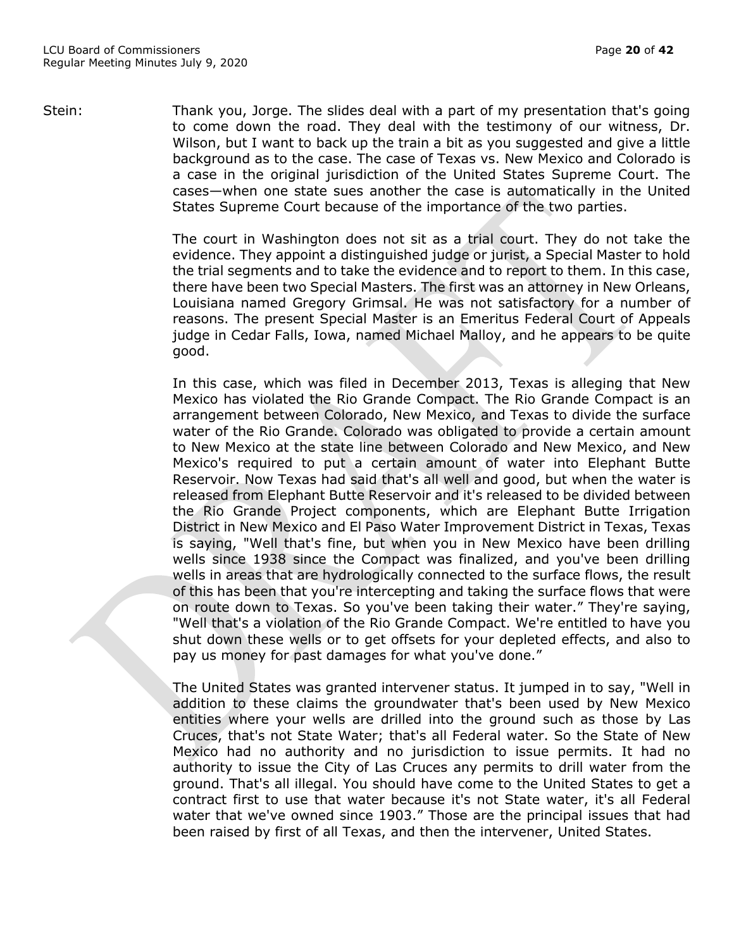Stein: Thank you, Jorge. The slides deal with a part of my presentation that's going to come down the road. They deal with the testimony of our witness, Dr. Wilson, but I want to back up the train a bit as you suggested and give a little background as to the case. The case of Texas vs. New Mexico and Colorado is a case in the original jurisdiction of the United States Supreme Court. The cases—when one state sues another the case is automatically in the United States Supreme Court because of the importance of the two parties.

> The court in Washington does not sit as a trial court. They do not take the evidence. They appoint a distinguished judge or jurist, a Special Master to hold the trial segments and to take the evidence and to report to them. In this case, there have been two Special Masters. The first was an attorney in New Orleans, Louisiana named Gregory Grimsal. He was not satisfactory for a number of reasons. The present Special Master is an Emeritus Federal Court of Appeals judge in Cedar Falls, Iowa, named Michael Malloy, and he appears to be quite good.

> In this case, which was filed in December 2013, Texas is alleging that New Mexico has violated the Rio Grande Compact. The Rio Grande Compact is an arrangement between Colorado, New Mexico, and Texas to divide the surface water of the Rio Grande. Colorado was obligated to provide a certain amount to New Mexico at the state line between Colorado and New Mexico, and New Mexico's required to put a certain amount of water into Elephant Butte Reservoir. Now Texas had said that's all well and good, but when the water is released from Elephant Butte Reservoir and it's released to be divided between the Rio Grande Project components, which are Elephant Butte Irrigation District in New Mexico and El Paso Water Improvement District in Texas, Texas is saying, "Well that's fine, but when you in New Mexico have been drilling wells since 1938 since the Compact was finalized, and you've been drilling wells in areas that are hydrologically connected to the surface flows, the result of this has been that you're intercepting and taking the surface flows that were on route down to Texas. So you've been taking their water." They're saying, "Well that's a violation of the Rio Grande Compact. We're entitled to have you shut down these wells or to get offsets for your depleted effects, and also to pay us money for past damages for what you've done."

> The United States was granted intervener status. It jumped in to say, "Well in addition to these claims the groundwater that's been used by New Mexico entities where your wells are drilled into the ground such as those by Las Cruces, that's not State Water; that's all Federal water. So the State of New Mexico had no authority and no jurisdiction to issue permits. It had no authority to issue the City of Las Cruces any permits to drill water from the ground. That's all illegal. You should have come to the United States to get a contract first to use that water because it's not State water, it's all Federal water that we've owned since 1903." Those are the principal issues that had been raised by first of all Texas, and then the intervener, United States.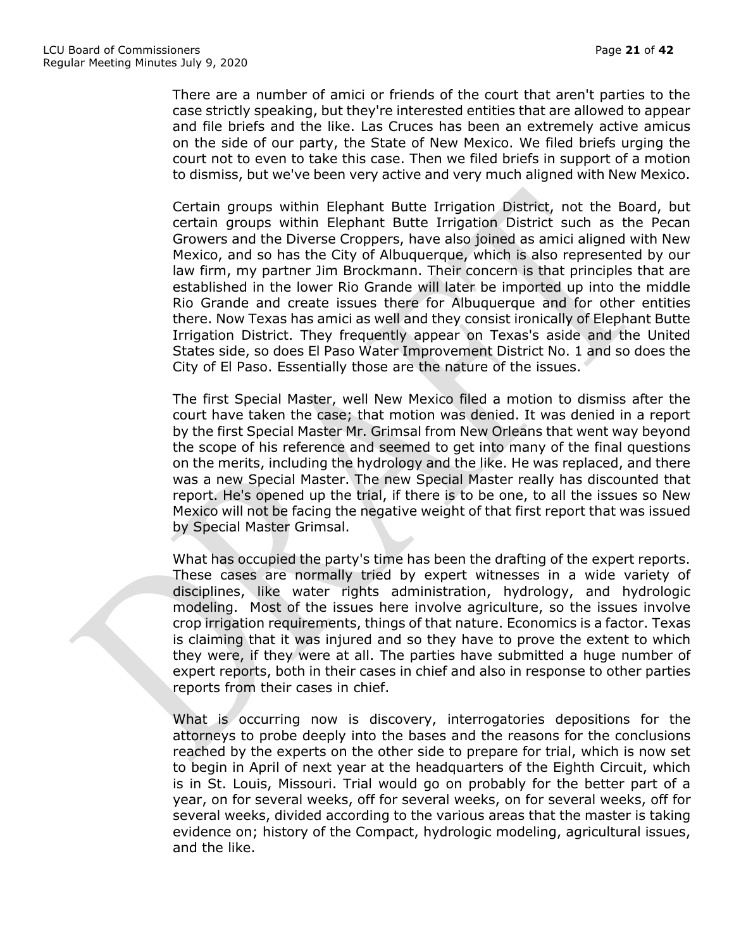There are a number of amici or friends of the court that aren't parties to the case strictly speaking, but they're interested entities that are allowed to appear and file briefs and the like. Las Cruces has been an extremely active amicus on the side of our party, the State of New Mexico. We filed briefs urging the court not to even to take this case. Then we filed briefs in support of a motion to dismiss, but we've been very active and very much aligned with New Mexico.

Certain groups within Elephant Butte Irrigation District, not the Board, but certain groups within Elephant Butte Irrigation District such as the Pecan Growers and the Diverse Croppers, have also joined as amici aligned with New Mexico, and so has the City of Albuquerque, which is also represented by our law firm, my partner Jim Brockmann. Their concern is that principles that are established in the lower Rio Grande will later be imported up into the middle Rio Grande and create issues there for Albuquerque and for other entities there. Now Texas has amici as well and they consist ironically of Elephant Butte Irrigation District. They frequently appear on Texas's aside and the United States side, so does El Paso Water Improvement District No. 1 and so does the City of El Paso. Essentially those are the nature of the issues.

The first Special Master, well New Mexico filed a motion to dismiss after the court have taken the case; that motion was denied. It was denied in a report by the first Special Master Mr. Grimsal from New Orleans that went way beyond the scope of his reference and seemed to get into many of the final questions on the merits, including the hydrology and the like. He was replaced, and there was a new Special Master. The new Special Master really has discounted that report. He's opened up the trial, if there is to be one, to all the issues so New Mexico will not be facing the negative weight of that first report that was issued by Special Master Grimsal.

What has occupied the party's time has been the drafting of the expert reports. These cases are normally tried by expert witnesses in a wide variety of disciplines, like water rights administration, hydrology, and hydrologic modeling. Most of the issues here involve agriculture, so the issues involve crop irrigation requirements, things of that nature. Economics is a factor. Texas is claiming that it was injured and so they have to prove the extent to which they were, if they were at all. The parties have submitted a huge number of expert reports, both in their cases in chief and also in response to other parties reports from their cases in chief.

What is occurring now is discovery, interrogatories depositions for the attorneys to probe deeply into the bases and the reasons for the conclusions reached by the experts on the other side to prepare for trial, which is now set to begin in April of next year at the headquarters of the Eighth Circuit, which is in St. Louis, Missouri. Trial would go on probably for the better part of a year, on for several weeks, off for several weeks, on for several weeks, off for several weeks, divided according to the various areas that the master is taking evidence on; history of the Compact, hydrologic modeling, agricultural issues, and the like.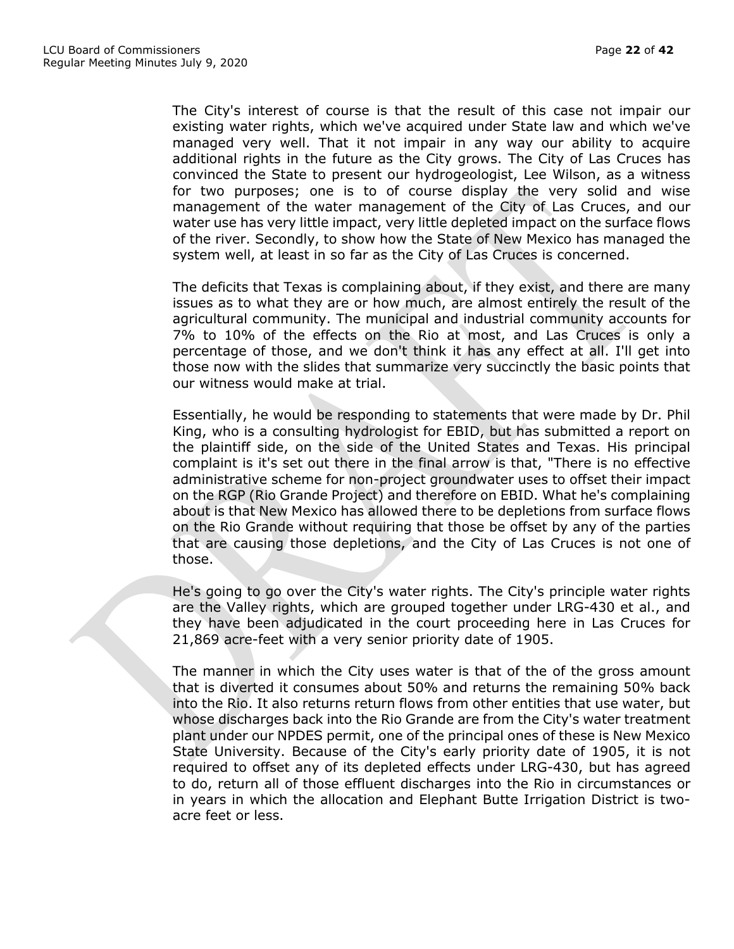The City's interest of course is that the result of this case not impair our existing water rights, which we've acquired under State law and which we've managed very well. That it not impair in any way our ability to acquire additional rights in the future as the City grows. The City of Las Cruces has convinced the State to present our hydrogeologist, Lee Wilson, as a witness for two purposes; one is to of course display the very solid and wise management of the water management of the City of Las Cruces, and our water use has very little impact, very little depleted impact on the surface flows of the river. Secondly, to show how the State of New Mexico has managed the system well, at least in so far as the City of Las Cruces is concerned.

The deficits that Texas is complaining about, if they exist, and there are many issues as to what they are or how much, are almost entirely the result of the agricultural community. The municipal and industrial community accounts for 7% to 10% of the effects on the Rio at most, and Las Cruces is only a percentage of those, and we don't think it has any effect at all. I'll get into those now with the slides that summarize very succinctly the basic points that our witness would make at trial.

Essentially, he would be responding to statements that were made by Dr. Phil King, who is a consulting hydrologist for EBID, but has submitted a report on the plaintiff side, on the side of the United States and Texas. His principal complaint is it's set out there in the final arrow is that, "There is no effective administrative scheme for non-project groundwater uses to offset their impact on the RGP (Rio Grande Project) and therefore on EBID. What he's complaining about is that New Mexico has allowed there to be depletions from surface flows on the Rio Grande without requiring that those be offset by any of the parties that are causing those depletions, and the City of Las Cruces is not one of those.

He's going to go over the City's water rights. The City's principle water rights are the Valley rights, which are grouped together under LRG-430 et al., and they have been adjudicated in the court proceeding here in Las Cruces for 21,869 acre-feet with a very senior priority date of 1905.

The manner in which the City uses water is that of the of the gross amount that is diverted it consumes about 50% and returns the remaining 50% back into the Rio. It also returns return flows from other entities that use water, but whose discharges back into the Rio Grande are from the City's water treatment plant under our NPDES permit, one of the principal ones of these is New Mexico State University. Because of the City's early priority date of 1905, it is not required to offset any of its depleted effects under LRG-430, but has agreed to do, return all of those effluent discharges into the Rio in circumstances or in years in which the allocation and Elephant Butte Irrigation District is twoacre feet or less.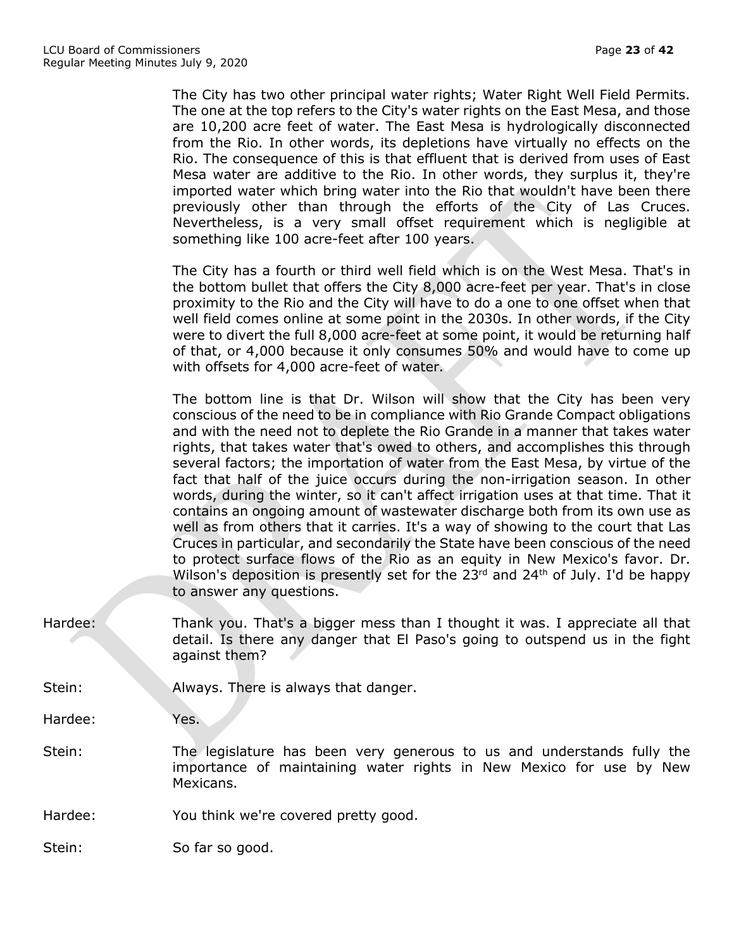The City has two other principal water rights; Water Right Well Field Permits. The one at the top refers to the City's water rights on the East Mesa, and those are 10,200 acre feet of water. The East Mesa is hydrologically disconnected from the Rio. In other words, its depletions have virtually no effects on the Rio. The consequence of this is that effluent that is derived from uses of East Mesa water are additive to the Rio. In other words, they surplus it, they're imported water which bring water into the Rio that wouldn't have been there previously other than through the efforts of the City of Las Cruces. Nevertheless, is a very small offset requirement which is negligible at something like 100 acre-feet after 100 years. The City has a fourth or third well field which is on the West Mesa. That's in the bottom bullet that offers the City 8,000 acre-feet per year. That's in close proximity to the Rio and the City will have to do a one to one offset when that well field comes online at some point in the 2030s. In other words, if the City were to divert the full 8,000 acre-feet at some point, it would be returning half of that, or 4,000 because it only consumes 50% and would have to come up with offsets for 4,000 acre-feet of water.

The bottom line is that Dr. Wilson will show that the City has been very conscious of the need to be in compliance with Rio Grande Compact obligations and with the need not to deplete the Rio Grande in a manner that takes water rights, that takes water that's owed to others, and accomplishes this through several factors; the importation of water from the East Mesa, by virtue of the fact that half of the juice occurs during the non-irrigation season. In other words, during the winter, so it can't affect irrigation uses at that time. That it contains an ongoing amount of wastewater discharge both from its own use as well as from others that it carries. It's a way of showing to the court that Las Cruces in particular, and secondarily the State have been conscious of the need to protect surface flows of the Rio as an equity in New Mexico's favor. Dr. Wilson's deposition is presently set for the  $23<sup>rd</sup>$  and  $24<sup>th</sup>$  of July. I'd be happy to answer any questions.

Hardee: Thank you. That's a bigger mess than I thought it was. I appreciate all that detail. Is there any danger that El Paso's going to outspend us in the fight against them?

Stein: Always. There is always that danger.

Hardee: Yes.

- Stein: The legislature has been very generous to us and understands fully the importance of maintaining water rights in New Mexico for use by New Mexicans.
- Hardee: You think we're covered pretty good.

Stein: So far so good.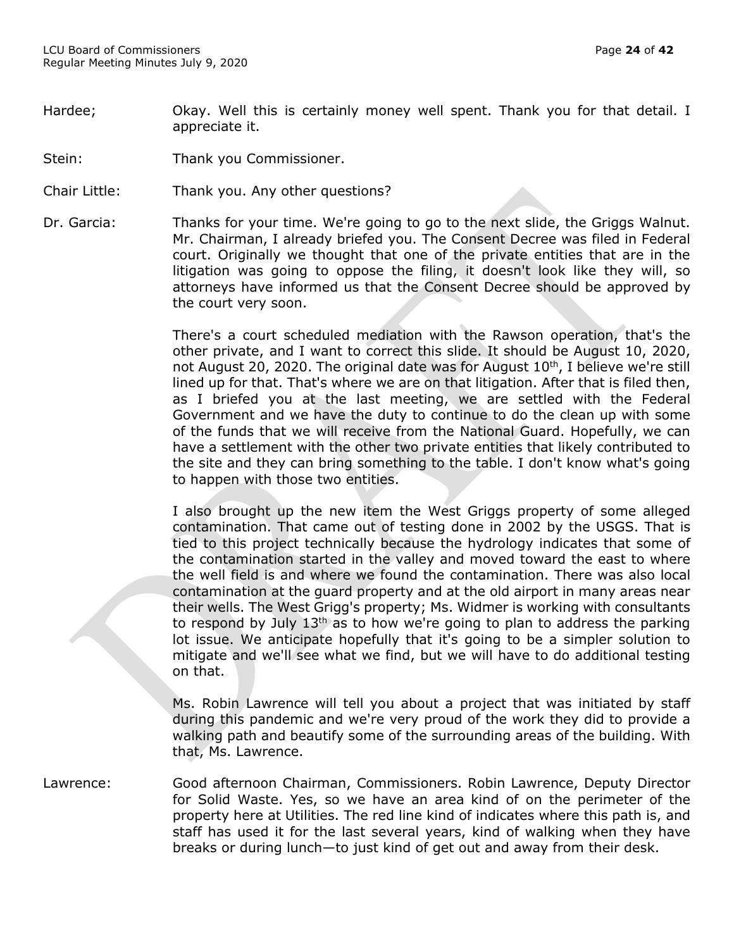- Hardee; The Okay. Well this is certainly money well spent. Thank you for that detail. I appreciate it.
- Stein: Thank you Commissioner.
- Chair Little: Thank you. Any other questions?
- Dr. Garcia: Thanks for your time. We're going to go to the next slide, the Griggs Walnut. Mr. Chairman, I already briefed you. The Consent Decree was filed in Federal court. Originally we thought that one of the private entities that are in the litigation was going to oppose the filing, it doesn't look like they will, so attorneys have informed us that the Consent Decree should be approved by the court very soon.

There's a court scheduled mediation with the Rawson operation, that's the other private, and I want to correct this slide. It should be August 10, 2020, not August 20, 2020. The original date was for August 10<sup>th</sup>, I believe we're still lined up for that. That's where we are on that litigation. After that is filed then, as I briefed you at the last meeting, we are settled with the Federal Government and we have the duty to continue to do the clean up with some of the funds that we will receive from the National Guard. Hopefully, we can have a settlement with the other two private entities that likely contributed to the site and they can bring something to the table. I don't know what's going to happen with those two entities.

I also brought up the new item the West Griggs property of some alleged contamination. That came out of testing done in 2002 by the USGS. That is tied to this project technically because the hydrology indicates that some of the contamination started in the valley and moved toward the east to where the well field is and where we found the contamination. There was also local contamination at the guard property and at the old airport in many areas near their wells. The West Grigg's property; Ms. Widmer is working with consultants to respond by July  $13<sup>th</sup>$  as to how we're going to plan to address the parking lot issue. We anticipate hopefully that it's going to be a simpler solution to mitigate and we'll see what we find, but we will have to do additional testing on that.

Ms. Robin Lawrence will tell you about a project that was initiated by staff during this pandemic and we're very proud of the work they did to provide a walking path and beautify some of the surrounding areas of the building. With that, Ms. Lawrence.

Lawrence: Good afternoon Chairman, Commissioners. Robin Lawrence, Deputy Director for Solid Waste. Yes, so we have an area kind of on the perimeter of the property here at Utilities. The red line kind of indicates where this path is, and staff has used it for the last several years, kind of walking when they have breaks or during lunch—to just kind of get out and away from their desk.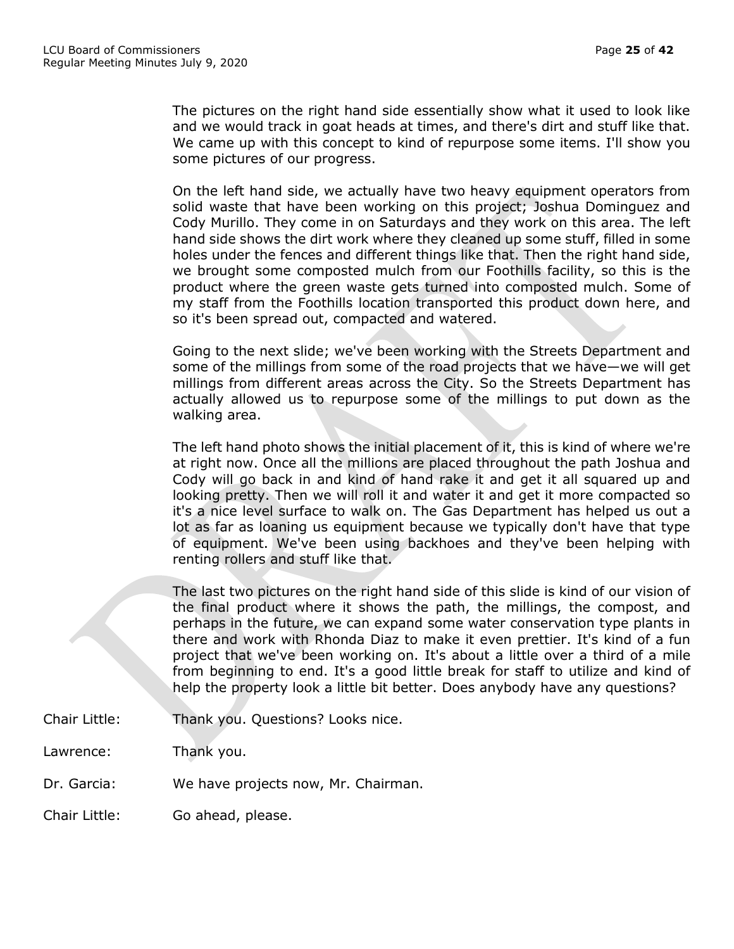The pictures on the right hand side essentially show what it used to look like and we would track in goat heads at times, and there's dirt and stuff like that. We came up with this concept to kind of repurpose some items. I'll show you some pictures of our progress.

On the left hand side, we actually have two heavy equipment operators from solid waste that have been working on this project; Joshua Dominguez and Cody Murillo. They come in on Saturdays and they work on this area. The left hand side shows the dirt work where they cleaned up some stuff, filled in some holes under the fences and different things like that. Then the right hand side, we brought some composted mulch from our Foothills facility, so this is the product where the green waste gets turned into composted mulch. Some of my staff from the Foothills location transported this product down here, and so it's been spread out, compacted and watered.

Going to the next slide; we've been working with the Streets Department and some of the millings from some of the road projects that we have—we will get millings from different areas across the City. So the Streets Department has actually allowed us to repurpose some of the millings to put down as the walking area.

The left hand photo shows the initial placement of it, this is kind of where we're at right now. Once all the millions are placed throughout the path Joshua and Cody will go back in and kind of hand rake it and get it all squared up and looking pretty. Then we will roll it and water it and get it more compacted so it's a nice level surface to walk on. The Gas Department has helped us out a lot as far as loaning us equipment because we typically don't have that type of equipment. We've been using backhoes and they've been helping with renting rollers and stuff like that.

The last two pictures on the right hand side of this slide is kind of our vision of the final product where it shows the path, the millings, the compost, and perhaps in the future, we can expand some water conservation type plants in there and work with Rhonda Diaz to make it even prettier. It's kind of a fun project that we've been working on. It's about a little over a third of a mile from beginning to end. It's a good little break for staff to utilize and kind of help the property look a little bit better. Does anybody have any questions?

- Chair Little: Thank you. Questions? Looks nice.
- Lawrence: Thank you.
- Dr. Garcia: We have projects now, Mr. Chairman.

Chair Little: Go ahead, please.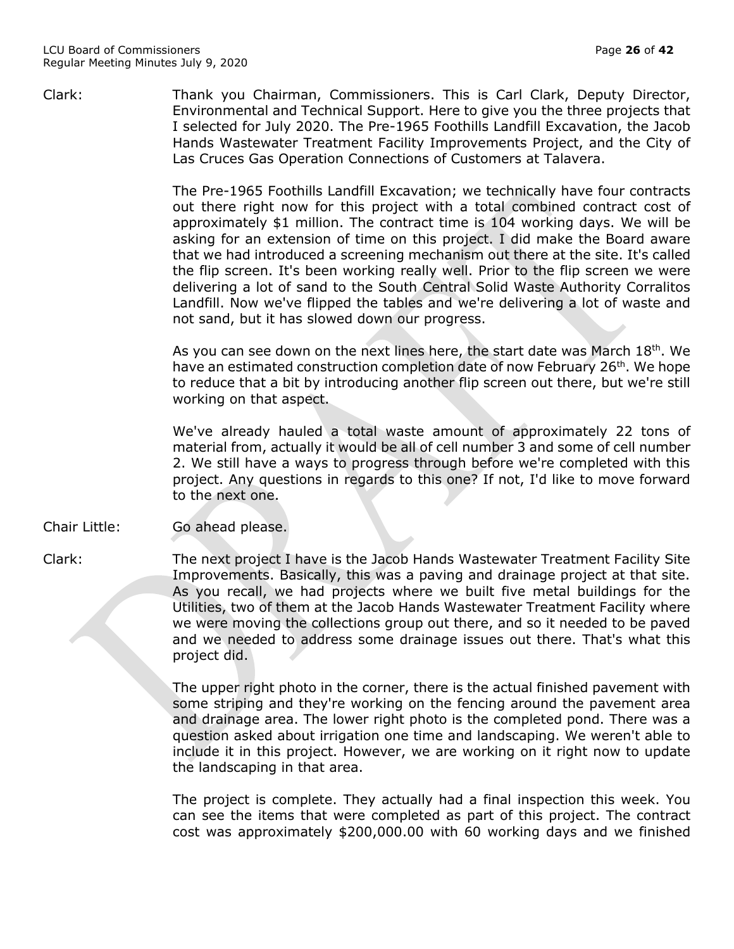Clark: Thank you Chairman, Commissioners. This is Carl Clark, Deputy Director, Environmental and Technical Support. Here to give you the three projects that I selected for July 2020. The Pre-1965 Foothills Landfill Excavation, the Jacob Hands Wastewater Treatment Facility Improvements Project, and the City of Las Cruces Gas Operation Connections of Customers at Talavera.

> The Pre-1965 Foothills Landfill Excavation; we technically have four contracts out there right now for this project with a total combined contract cost of approximately \$1 million. The contract time is 104 working days. We will be asking for an extension of time on this project. I did make the Board aware that we had introduced a screening mechanism out there at the site. It's called the flip screen. It's been working really well. Prior to the flip screen we were delivering a lot of sand to the South Central Solid Waste Authority Corralitos Landfill. Now we've flipped the tables and we're delivering a lot of waste and not sand, but it has slowed down our progress.

> As you can see down on the next lines here, the start date was March  $18<sup>th</sup>$ . We have an estimated construction completion date of now February 26<sup>th</sup>. We hope to reduce that a bit by introducing another flip screen out there, but we're still working on that aspect.

> We've already hauled a total waste amount of approximately 22 tons of material from, actually it would be all of cell number 3 and some of cell number 2. We still have a ways to progress through before we're completed with this project. Any questions in regards to this one? If not, I'd like to move forward to the next one.

Chair Little: Go ahead please.

Clark: The next project I have is the Jacob Hands Wastewater Treatment Facility Site Improvements. Basically, this was a paving and drainage project at that site. As you recall, we had projects where we built five metal buildings for the Utilities, two of them at the Jacob Hands Wastewater Treatment Facility where we were moving the collections group out there, and so it needed to be paved and we needed to address some drainage issues out there. That's what this project did.

> The upper right photo in the corner, there is the actual finished pavement with some striping and they're working on the fencing around the pavement area and drainage area. The lower right photo is the completed pond. There was a question asked about irrigation one time and landscaping. We weren't able to include it in this project. However, we are working on it right now to update the landscaping in that area.

> The project is complete. They actually had a final inspection this week. You can see the items that were completed as part of this project. The contract cost was approximately \$200,000.00 with 60 working days and we finished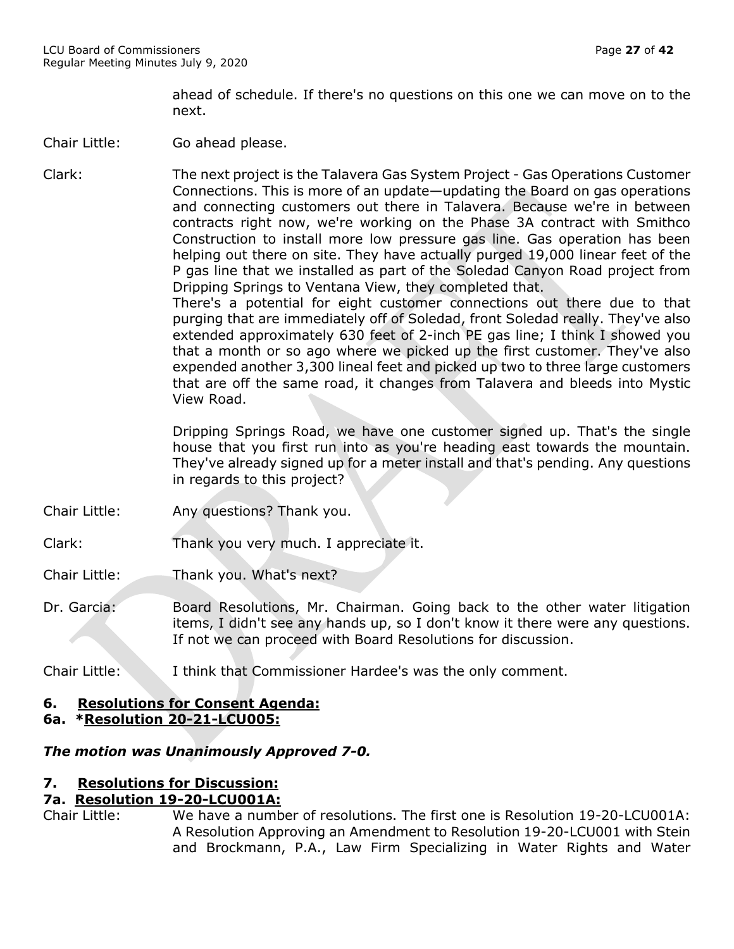ahead of schedule. If there's no questions on this one we can move on to the next.

Chair Little: Go ahead please.

Clark: The next project is the Talavera Gas System Project - Gas Operations Customer Connections. This is more of an update—updating the Board on gas operations and connecting customers out there in Talavera. Because we're in between contracts right now, we're working on the Phase 3A contract with Smithco Construction to install more low pressure gas line. Gas operation has been helping out there on site. They have actually purged 19,000 linear feet of the P gas line that we installed as part of the Soledad Canyon Road project from Dripping Springs to Ventana View, they completed that. There's a potential for eight customer connections out there due to that purging that are immediately off of Soledad, front Soledad really. They've also

extended approximately 630 feet of 2-inch PE gas line; I think I showed you that a month or so ago where we picked up the first customer. They've also expended another 3,300 lineal feet and picked up two to three large customers that are off the same road, it changes from Talavera and bleeds into Mystic View Road.

Dripping Springs Road, we have one customer signed up. That's the single house that you first run into as you're heading east towards the mountain. They've already signed up for a meter install and that's pending. Any questions in regards to this project?

- Chair Little: Any questions? Thank you.
- Clark: Thank you very much. I appreciate it.
- Chair Little: Thank you. What's next?
- Dr. Garcia: Board Resolutions, Mr. Chairman. Going back to the other water litigation items, I didn't see any hands up, so I don't know it there were any questions. If not we can proceed with Board Resolutions for discussion.
- Chair Little: I think that Commissioner Hardee's was the only comment.

# **6. Resolutions for Consent Agenda:**

# **6a. \*Resolution 20-21-LCU005:**

# *The motion was Unanimously Approved 7-0.*

# **7. Resolutions for Discussion:**

# **7a. Resolution 19-20-LCU001A:**

Chair Little: We have a number of resolutions. The first one is Resolution 19-20-LCU001A: A Resolution Approving an Amendment to Resolution 19-20-LCU001 with Stein and Brockmann, P.A., Law Firm Specializing in Water Rights and Water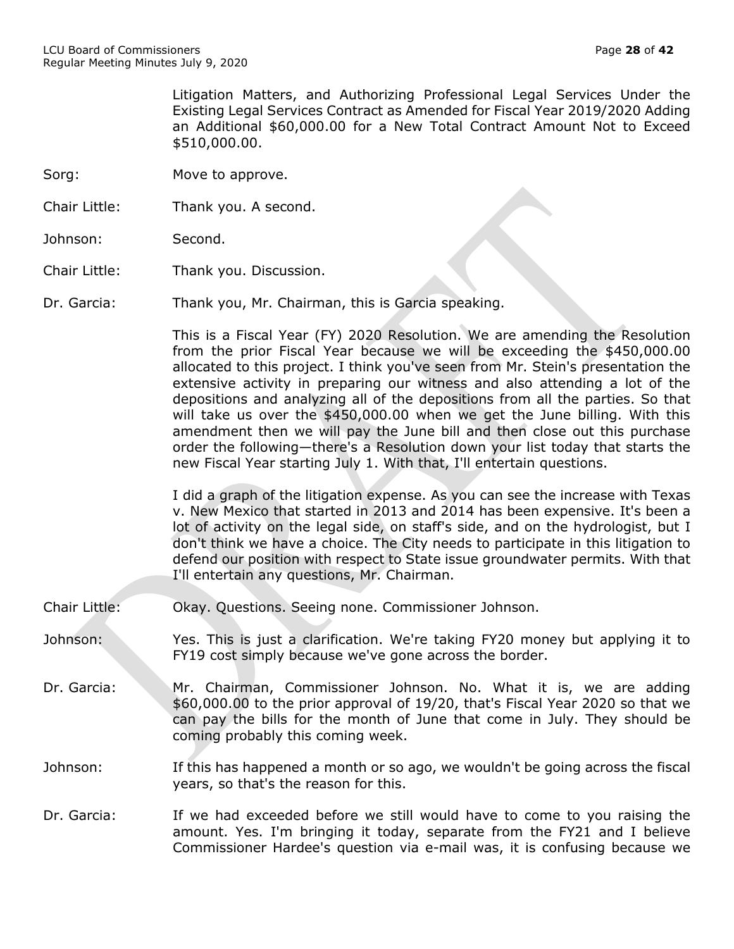Litigation Matters, and Authorizing Professional Legal Services Under the Existing Legal Services Contract as Amended for Fiscal Year 2019/2020 Adding an Additional \$60,000.00 for a New Total Contract Amount Not to Exceed \$510,000.00.

- Sorg: Move to approve.
- Chair Little: Thank you. A second.
- Johnson: Second.
- Chair Little: Thank you. Discussion.

Dr. Garcia: Thank you, Mr. Chairman, this is Garcia speaking.

This is a Fiscal Year (FY) 2020 Resolution. We are amending the Resolution from the prior Fiscal Year because we will be exceeding the \$450,000.00 allocated to this project. I think you've seen from Mr. Stein's presentation the extensive activity in preparing our witness and also attending a lot of the depositions and analyzing all of the depositions from all the parties. So that will take us over the \$450,000.00 when we get the June billing. With this amendment then we will pay the June bill and then close out this purchase order the following—there's a Resolution down your list today that starts the new Fiscal Year starting July 1. With that, I'll entertain questions.

I did a graph of the litigation expense. As you can see the increase with Texas v. New Mexico that started in 2013 and 2014 has been expensive. It's been a lot of activity on the legal side, on staff's side, and on the hydrologist, but I don't think we have a choice. The City needs to participate in this litigation to defend our position with respect to State issue groundwater permits. With that I'll entertain any questions, Mr. Chairman.

- Chair Little: Okay. Questions. Seeing none. Commissioner Johnson.
- Johnson: Yes. This is just a clarification. We're taking FY20 money but applying it to FY19 cost simply because we've gone across the border.
- Dr. Garcia: Mr. Chairman, Commissioner Johnson. No. What it is, we are adding \$60,000.00 to the prior approval of 19/20, that's Fiscal Year 2020 so that we can pay the bills for the month of June that come in July. They should be coming probably this coming week.

Johnson: If this has happened a month or so ago, we wouldn't be going across the fiscal years, so that's the reason for this.

Dr. Garcia: If we had exceeded before we still would have to come to you raising the amount. Yes. I'm bringing it today, separate from the FY21 and I believe Commissioner Hardee's question via e-mail was, it is confusing because we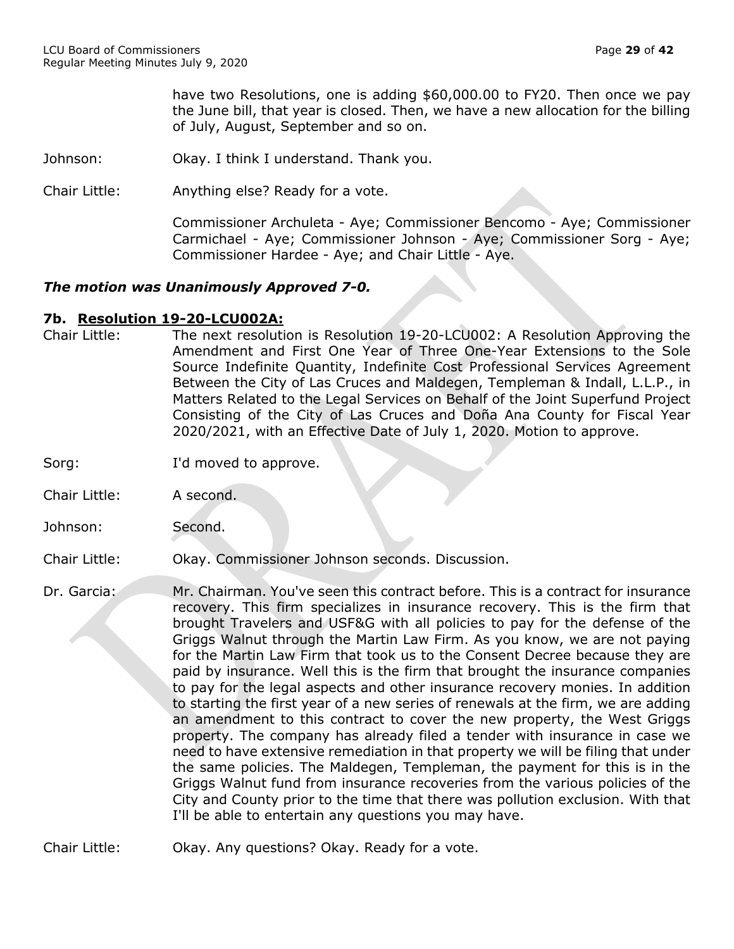have two Resolutions, one is adding \$60,000.00 to FY20. Then once we pay the June bill, that year is closed. Then, we have a new allocation for the billing of July, August, September and so on.

- Johnson: Okay. I think I understand. Thank you.
- Chair Little: Anything else? Ready for a vote.

Commissioner Archuleta - Aye; Commissioner Bencomo - Aye; Commissioner Carmichael - Aye; Commissioner Johnson - Aye; Commissioner Sorg - Aye; Commissioner Hardee - Aye; and Chair Little - Aye.

## *The motion was Unanimously Approved 7-0.*

## **7b. Resolution 19-20-LCU002A:**

- Chair Little: The next resolution is Resolution 19-20-LCU002: A Resolution Approving the Amendment and First One Year of Three One-Year Extensions to the Sole Source Indefinite Quantity, Indefinite Cost Professional Services Agreement Between the City of Las Cruces and Maldegen, Templeman & Indall, L.L.P., in Matters Related to the Legal Services on Behalf of the Joint Superfund Project Consisting of the City of Las Cruces and Doña Ana County for Fiscal Year 2020/2021, with an Effective Date of July 1, 2020. Motion to approve.
- Sorg: I'd moved to approve.
- Chair Little: A second.
- Johnson: Second.

#### Chair Little: Okay. Commissioner Johnson seconds. Discussion.

- Dr. Garcia: Mr. Chairman. You've seen this contract before. This is a contract for insurance recovery. This firm specializes in insurance recovery. This is the firm that brought Travelers and USF&G with all policies to pay for the defense of the Griggs Walnut through the Martin Law Firm. As you know, we are not paying for the Martin Law Firm that took us to the Consent Decree because they are paid by insurance. Well this is the firm that brought the insurance companies to pay for the legal aspects and other insurance recovery monies. In addition to starting the first year of a new series of renewals at the firm, we are adding an amendment to this contract to cover the new property, the West Griggs property. The company has already filed a tender with insurance in case we need to have extensive remediation in that property we will be filing that under the same policies. The Maldegen, Templeman, the payment for this is in the Griggs Walnut fund from insurance recoveries from the various policies of the City and County prior to the time that there was pollution exclusion. With that I'll be able to entertain any questions you may have.
- Chair Little: Okay. Any questions? Okay. Ready for a vote.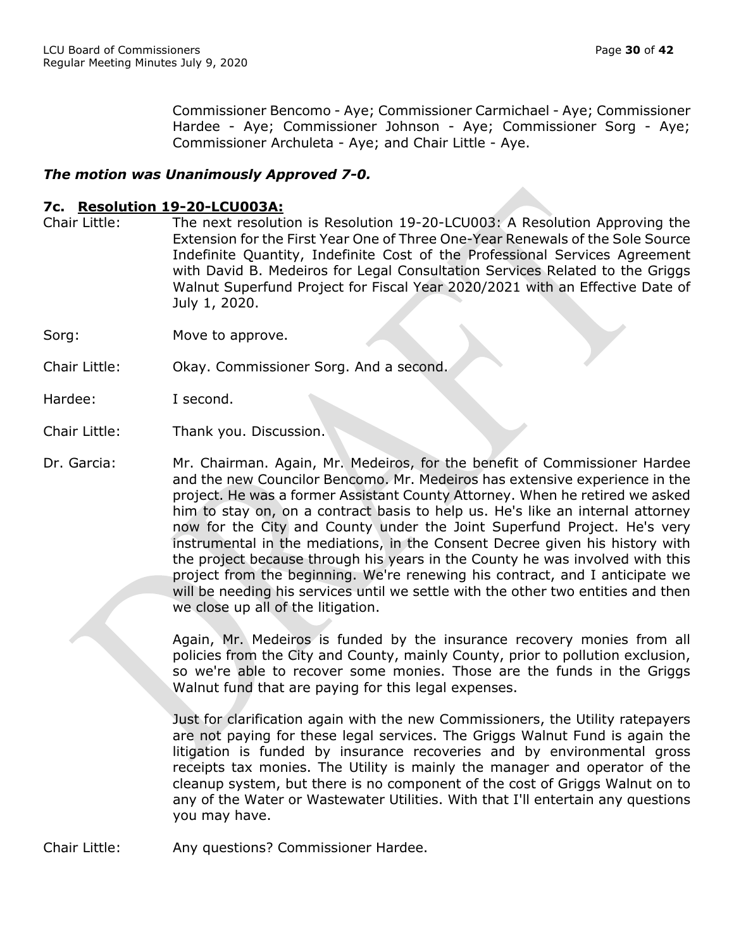Commissioner Bencomo - Aye; Commissioner Carmichael - Aye; Commissioner Hardee - Aye; Commissioner Johnson - Aye; Commissioner Sorg - Aye; Commissioner Archuleta - Aye; and Chair Little - Aye.

# *The motion was Unanimously Approved 7-0.*

# **7c. Resolution 19-20-LCU003A:**

- Chair Little: The next resolution is Resolution 19-20-LCU003: A Resolution Approving the Extension for the First Year One of Three One-Year Renewals of the Sole Source Indefinite Quantity, Indefinite Cost of the Professional Services Agreement with David B. Medeiros for Legal Consultation Services Related to the Griggs Walnut Superfund Project for Fiscal Year 2020/2021 with an Effective Date of July 1, 2020.
- Sorg: Move to approve.
- Chair Little: Okay. Commissioner Sorg. And a second.

- Chair Little: Thank you. Discussion.
- Dr. Garcia: Mr. Chairman. Again, Mr. Medeiros, for the benefit of Commissioner Hardee and the new Councilor Bencomo. Mr. Medeiros has extensive experience in the project. He was a former Assistant County Attorney. When he retired we asked him to stay on, on a contract basis to help us. He's like an internal attorney now for the City and County under the Joint Superfund Project. He's very instrumental in the mediations, in the Consent Decree given his history with the project because through his years in the County he was involved with this project from the beginning. We're renewing his contract, and I anticipate we will be needing his services until we settle with the other two entities and then we close up all of the litigation.

Again, Mr. Medeiros is funded by the insurance recovery monies from all policies from the City and County, mainly County, prior to pollution exclusion, so we're able to recover some monies. Those are the funds in the Griggs Walnut fund that are paying for this legal expenses.

Just for clarification again with the new Commissioners, the Utility ratepayers are not paying for these legal services. The Griggs Walnut Fund is again the litigation is funded by insurance recoveries and by environmental gross receipts tax monies. The Utility is mainly the manager and operator of the cleanup system, but there is no component of the cost of Griggs Walnut on to any of the Water or Wastewater Utilities. With that I'll entertain any questions you may have.

Chair Little: Any questions? Commissioner Hardee.

Hardee: I second.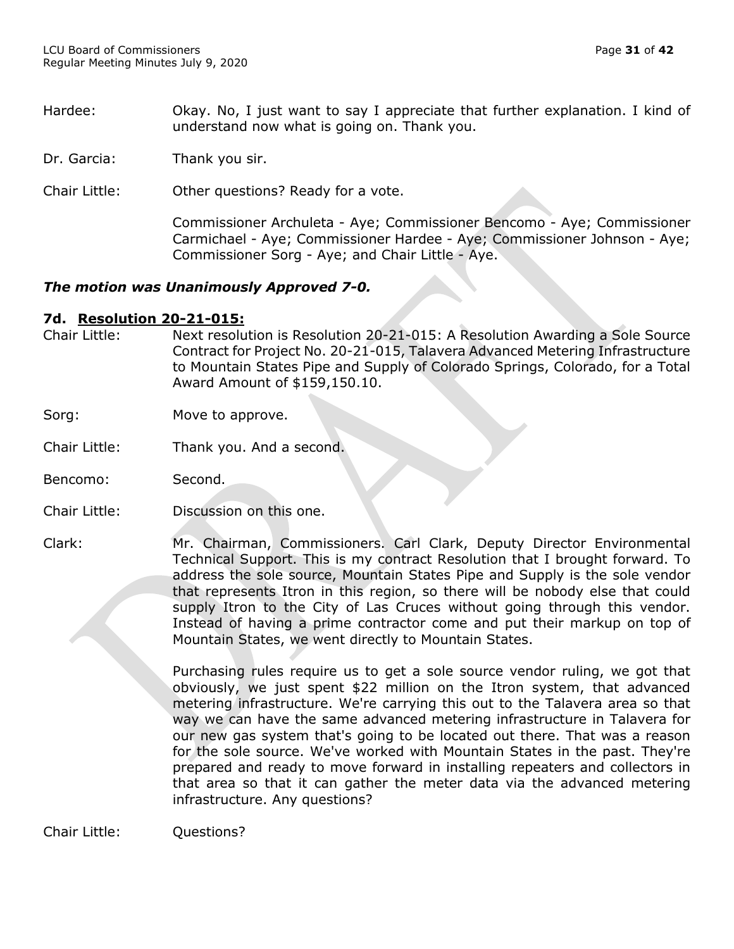- Hardee: Okay. No, I just want to say I appreciate that further explanation. I kind of understand now what is going on. Thank you.
- Dr. Garcia: Thank you sir.
- Chair Little: Other questions? Ready for a vote.

Commissioner Archuleta - Aye; Commissioner Bencomo - Aye; Commissioner Carmichael - Aye; Commissioner Hardee - Aye; Commissioner Johnson - Aye; Commissioner Sorg - Aye; and Chair Little - Aye.

# *The motion was Unanimously Approved 7-0.*

## **7d. Resolution 20-21-015:**

- Chair Little: Next resolution is Resolution 20-21-015: A Resolution Awarding a Sole Source Contract for Project No. 20-21-015, Talavera Advanced Metering Infrastructure to Mountain States Pipe and Supply of Colorado Springs, Colorado, for a Total Award Amount of \$159,150.10.
- Sorg: Move to approve.
- Chair Little: Thank you. And a second.
- Bencomo: Second.
- Chair Little: Discussion on this one.
- Clark: Mr. Chairman, Commissioners. Carl Clark, Deputy Director Environmental Technical Support. This is my contract Resolution that I brought forward. To address the sole source, Mountain States Pipe and Supply is the sole vendor that represents Itron in this region, so there will be nobody else that could supply Itron to the City of Las Cruces without going through this vendor. Instead of having a prime contractor come and put their markup on top of Mountain States, we went directly to Mountain States.

Purchasing rules require us to get a sole source vendor ruling, we got that obviously, we just spent \$22 million on the Itron system, that advanced metering infrastructure. We're carrying this out to the Talavera area so that way we can have the same advanced metering infrastructure in Talavera for our new gas system that's going to be located out there. That was a reason for the sole source. We've worked with Mountain States in the past. They're prepared and ready to move forward in installing repeaters and collectors in that area so that it can gather the meter data via the advanced metering infrastructure. Any questions?

Chair Little: Questions?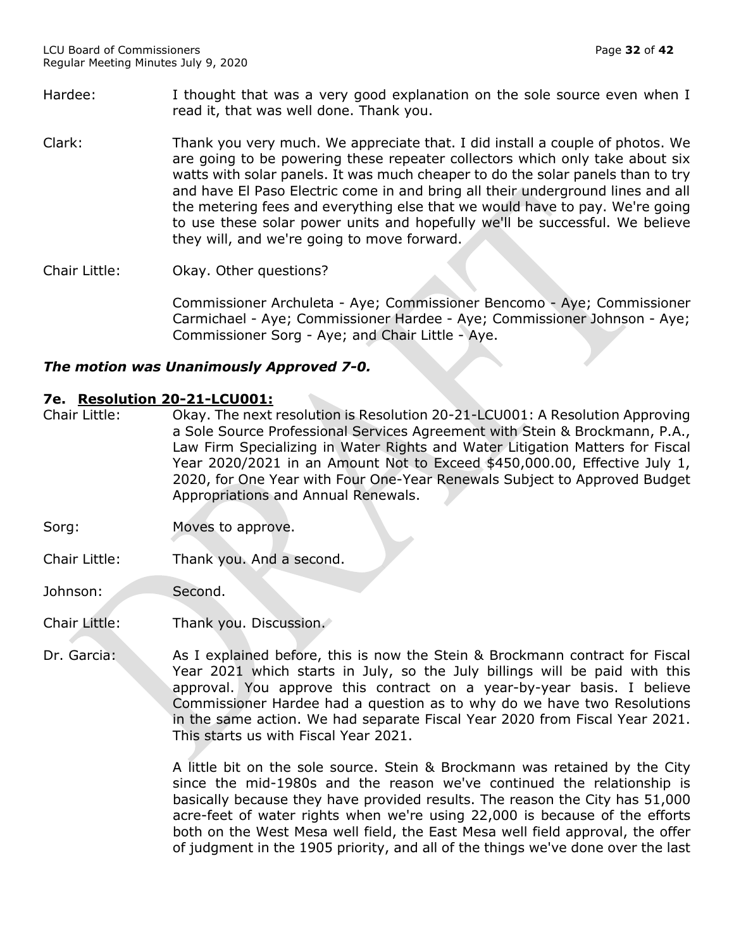- Hardee: I thought that was a very good explanation on the sole source even when I read it, that was well done. Thank you.
- Clark: Thank you very much. We appreciate that. I did install a couple of photos. We are going to be powering these repeater collectors which only take about six watts with solar panels. It was much cheaper to do the solar panels than to try and have El Paso Electric come in and bring all their underground lines and all the metering fees and everything else that we would have to pay. We're going to use these solar power units and hopefully we'll be successful. We believe they will, and we're going to move forward.

Chair Little: Okay. Other questions?

Commissioner Archuleta - Aye; Commissioner Bencomo - Aye; Commissioner Carmichael - Aye; Commissioner Hardee - Aye; Commissioner Johnson - Aye; Commissioner Sorg - Aye; and Chair Little - Aye.

# *The motion was Unanimously Approved 7-0.*

## **7e. Resolution 20-21-LCU001:**

- Chair Little: Okay. The next resolution is Resolution 20-21-LCU001: A Resolution Approving a Sole Source Professional Services Agreement with Stein & Brockmann, P.A., Law Firm Specializing in Water Rights and Water Litigation Matters for Fiscal Year 2020/2021 in an Amount Not to Exceed \$450,000.00, Effective July 1, 2020, for One Year with Four One-Year Renewals Subject to Approved Budget Appropriations and Annual Renewals.
- Sorg: Moves to approve.
- Chair Little: Thank you. And a second.
- Johnson: Second.
- Chair Little: Thank you. Discussion.
- Dr. Garcia: As I explained before, this is now the Stein & Brockmann contract for Fiscal Year 2021 which starts in July, so the July billings will be paid with this approval. You approve this contract on a year-by-year basis. I believe Commissioner Hardee had a question as to why do we have two Resolutions in the same action. We had separate Fiscal Year 2020 from Fiscal Year 2021. This starts us with Fiscal Year 2021.

A little bit on the sole source. Stein & Brockmann was retained by the City since the mid-1980s and the reason we've continued the relationship is basically because they have provided results. The reason the City has 51,000 acre-feet of water rights when we're using 22,000 is because of the efforts both on the West Mesa well field, the East Mesa well field approval, the offer of judgment in the 1905 priority, and all of the things we've done over the last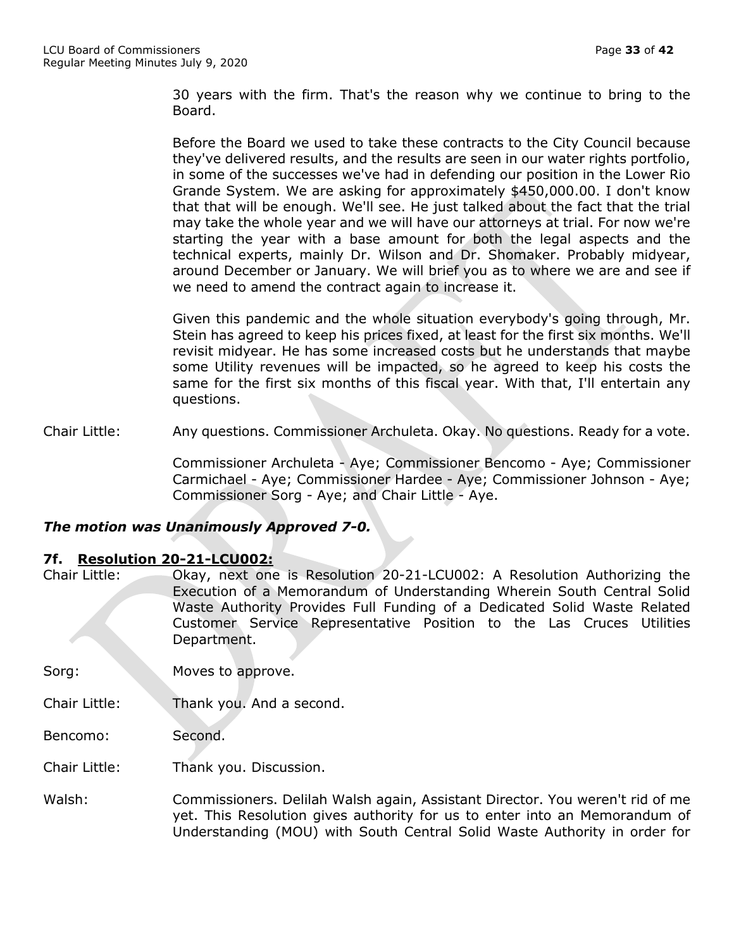30 years with the firm. That's the reason why we continue to bring to the Board.

Before the Board we used to take these contracts to the City Council because they've delivered results, and the results are seen in our water rights portfolio, in some of the successes we've had in defending our position in the Lower Rio Grande System. We are asking for approximately \$450,000.00. I don't know that that will be enough. We'll see. He just talked about the fact that the trial may take the whole year and we will have our attorneys at trial. For now we're starting the year with a base amount for both the legal aspects and the technical experts, mainly Dr. Wilson and Dr. Shomaker. Probably midyear, around December or January. We will brief you as to where we are and see if we need to amend the contract again to increase it.

Given this pandemic and the whole situation everybody's going through, Mr. Stein has agreed to keep his prices fixed, at least for the first six months. We'll revisit midyear. He has some increased costs but he understands that maybe some Utility revenues will be impacted, so he agreed to keep his costs the same for the first six months of this fiscal year. With that, I'll entertain any questions.

Chair Little: Any questions. Commissioner Archuleta. Okay. No questions. Ready for a vote.

Commissioner Archuleta - Aye; Commissioner Bencomo - Aye; Commissioner Carmichael - Aye; Commissioner Hardee - Aye; Commissioner Johnson - Aye; Commissioner Sorg - Aye; and Chair Little - Aye.

# *The motion was Unanimously Approved 7-0.*

## **7f. Resolution 20-21-LCU002:**

| Chair Little: | Okay, next one is Resolution 20-21-LCU002: A Resolution Authorizing the  |
|---------------|--------------------------------------------------------------------------|
|               | Execution of a Memorandum of Understanding Wherein South Central Solid   |
|               | Waste Authority Provides Full Funding of a Dedicated Solid Waste Related |
|               | Customer Service Representative Position to the Las Cruces Utilities     |
| <u>and</u>    | Department.                                                              |

Sorg: Moves to approve.

Chair Little: Thank you. And a second.

Bencomo: Second.

Chair Little: Thank you. Discussion.

Walsh: Commissioners. Delilah Walsh again, Assistant Director. You weren't rid of me yet. This Resolution gives authority for us to enter into an Memorandum of Understanding (MOU) with South Central Solid Waste Authority in order for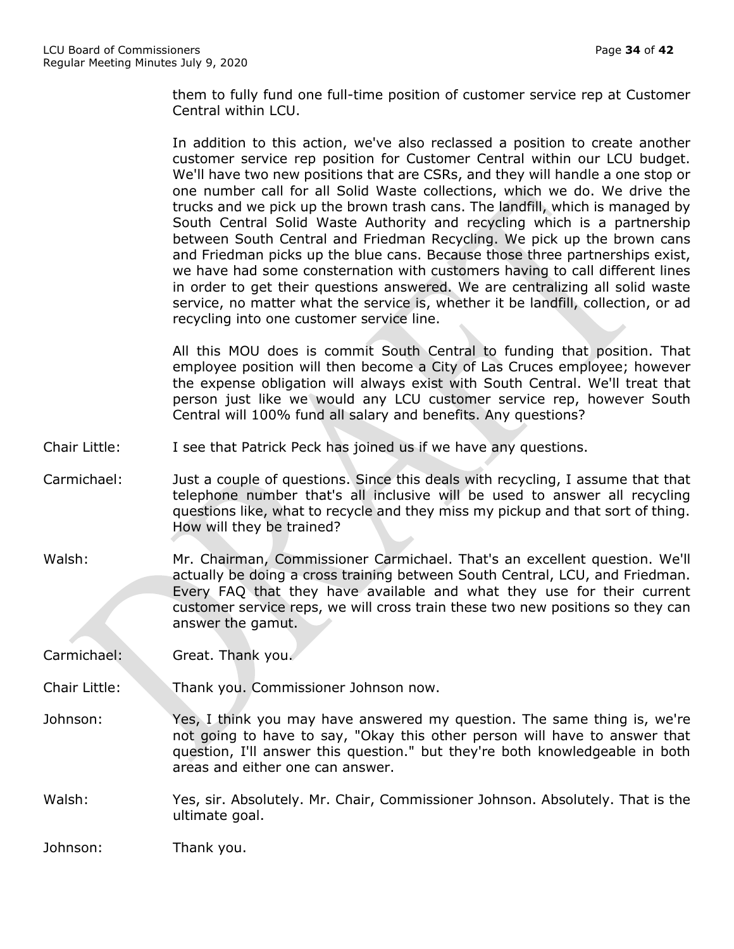them to fully fund one full-time position of customer service rep at Customer Central within LCU.

In addition to this action, we've also reclassed a position to create another customer service rep position for Customer Central within our LCU budget. We'll have two new positions that are CSRs, and they will handle a one stop or one number call for all Solid Waste collections, which we do. We drive the trucks and we pick up the brown trash cans. The landfill, which is managed by South Central Solid Waste Authority and recycling which is a partnership between South Central and Friedman Recycling. We pick up the brown cans and Friedman picks up the blue cans. Because those three partnerships exist, we have had some consternation with customers having to call different lines in order to get their questions answered. We are centralizing all solid waste service, no matter what the service is, whether it be landfill, collection, or ad recycling into one customer service line.

All this MOU does is commit South Central to funding that position. That employee position will then become a City of Las Cruces employee; however the expense obligation will always exist with South Central. We'll treat that person just like we would any LCU customer service rep, however South Central will 100% fund all salary and benefits. Any questions?

- Chair Little: I see that Patrick Peck has joined us if we have any questions.
- Carmichael: Just a couple of questions. Since this deals with recycling, I assume that that telephone number that's all inclusive will be used to answer all recycling questions like, what to recycle and they miss my pickup and that sort of thing. How will they be trained?
- Walsh: Mr. Chairman, Commissioner Carmichael. That's an excellent question. We'll actually be doing a cross training between South Central, LCU, and Friedman. Every FAQ that they have available and what they use for their current customer service reps, we will cross train these two new positions so they can answer the gamut.

Carmichael: Great. Thank you.

- Chair Little: Thank you. Commissioner Johnson now.
- Johnson: Yes, I think you may have answered my question. The same thing is, we're not going to have to say, "Okay this other person will have to answer that question, I'll answer this question." but they're both knowledgeable in both areas and either one can answer.
- Walsh: Yes, sir. Absolutely. Mr. Chair, Commissioner Johnson. Absolutely. That is the ultimate goal.

Johnson: Thank you.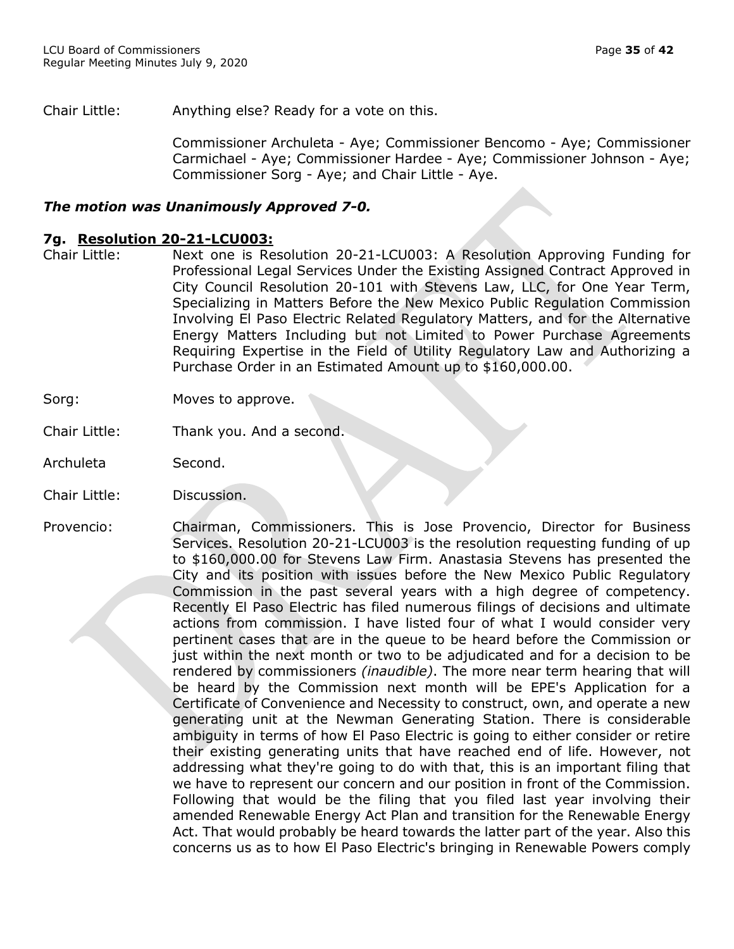Chair Little: Anything else? Ready for a vote on this.

Commissioner Archuleta - Aye; Commissioner Bencomo - Aye; Commissioner Carmichael - Aye; Commissioner Hardee - Aye; Commissioner Johnson - Aye; Commissioner Sorg - Aye; and Chair Little - Aye.

## *The motion was Unanimously Approved 7-0.*

#### **7g. Resolution 20-21-LCU003:**

- Chair Little: Next one is Resolution 20-21-LCU003: A Resolution Approving Funding for Professional Legal Services Under the Existing Assigned Contract Approved in City Council Resolution 20-101 with Stevens Law, LLC, for One Year Term, Specializing in Matters Before the New Mexico Public Regulation Commission Involving El Paso Electric Related Regulatory Matters, and for the Alternative Energy Matters Including but not Limited to Power Purchase Agreements Requiring Expertise in the Field of Utility Regulatory Law and Authorizing a Purchase Order in an Estimated Amount up to \$160,000.00.
- Sorg: Moves to approve.
- Chair Little: Thank you. And a second.
- Archuleta Second.
- Chair Little: Discussion.
- Provencio: Chairman, Commissioners. This is Jose Provencio, Director for Business Services. Resolution 20-21-LCU003 is the resolution requesting funding of up to \$160,000.00 for Stevens Law Firm. Anastasia Stevens has presented the City and its position with issues before the New Mexico Public Regulatory Commission in the past several years with a high degree of competency. Recently El Paso Electric has filed numerous filings of decisions and ultimate actions from commission. I have listed four of what I would consider very pertinent cases that are in the queue to be heard before the Commission or just within the next month or two to be adjudicated and for a decision to be rendered by commissioners *(inaudible)*. The more near term hearing that will be heard by the Commission next month will be EPE's Application for a Certificate of Convenience and Necessity to construct, own, and operate a new generating unit at the Newman Generating Station. There is considerable ambiguity in terms of how El Paso Electric is going to either consider or retire their existing generating units that have reached end of life. However, not addressing what they're going to do with that, this is an important filing that we have to represent our concern and our position in front of the Commission. Following that would be the filing that you filed last year involving their amended Renewable Energy Act Plan and transition for the Renewable Energy Act. That would probably be heard towards the latter part of the year. Also this concerns us as to how El Paso Electric's bringing in Renewable Powers comply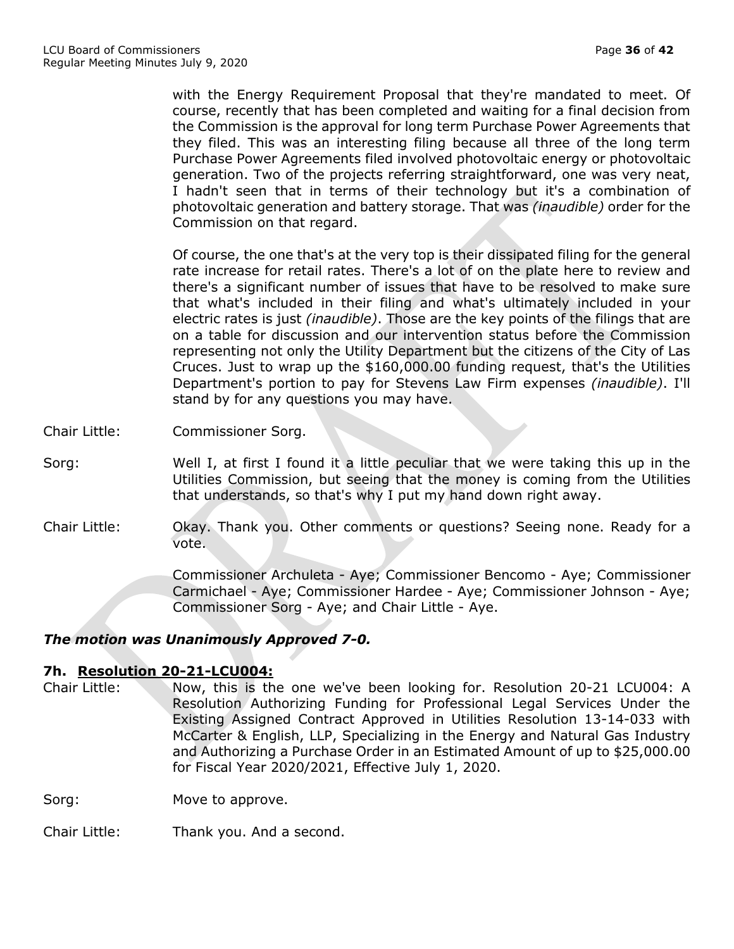with the Energy Requirement Proposal that they're mandated to meet. Of course, recently that has been completed and waiting for a final decision from the Commission is the approval for long term Purchase Power Agreements that they filed. This was an interesting filing because all three of the long term Purchase Power Agreements filed involved photovoltaic energy or photovoltaic generation. Two of the projects referring straightforward, one was very neat, I hadn't seen that in terms of their technology but it's a combination of photovoltaic generation and battery storage. That was *(inaudible)* order for the Commission on that regard.

Of course, the one that's at the very top is their dissipated filing for the general rate increase for retail rates. There's a lot of on the plate here to review and there's a significant number of issues that have to be resolved to make sure that what's included in their filing and what's ultimately included in your electric rates is just *(inaudible)*. Those are the key points of the filings that are on a table for discussion and our intervention status before the Commission representing not only the Utility Department but the citizens of the City of Las Cruces. Just to wrap up the \$160,000.00 funding request, that's the Utilities Department's portion to pay for Stevens Law Firm expenses *(inaudible)*. I'll stand by for any questions you may have.

- Chair Little: Commissioner Sorg.
- Sorg: Well I, at first I found it a little peculiar that we were taking this up in the Utilities Commission, but seeing that the money is coming from the Utilities that understands, so that's why I put my hand down right away.
- Chair Little: Okay. Thank you. Other comments or questions? Seeing none. Ready for a vote.

Commissioner Archuleta - Aye; Commissioner Bencomo - Aye; Commissioner Carmichael - Aye; Commissioner Hardee - Aye; Commissioner Johnson - Aye; Commissioner Sorg - Aye; and Chair Little - Aye.

## *The motion was Unanimously Approved 7-0.*

## **7h. Resolution 20-21-LCU004:**

Chair Little: Now, this is the one we've been looking for. Resolution 20-21 LCU004: A Resolution Authorizing Funding for Professional Legal Services Under the Existing Assigned Contract Approved in Utilities Resolution 13-14-033 with McCarter & English, LLP, Specializing in the Energy and Natural Gas Industry and Authorizing a Purchase Order in an Estimated Amount of up to \$25,000.00 for Fiscal Year 2020/2021, Effective July 1, 2020.

Sorg: Move to approve.

Chair Little: Thank you. And a second.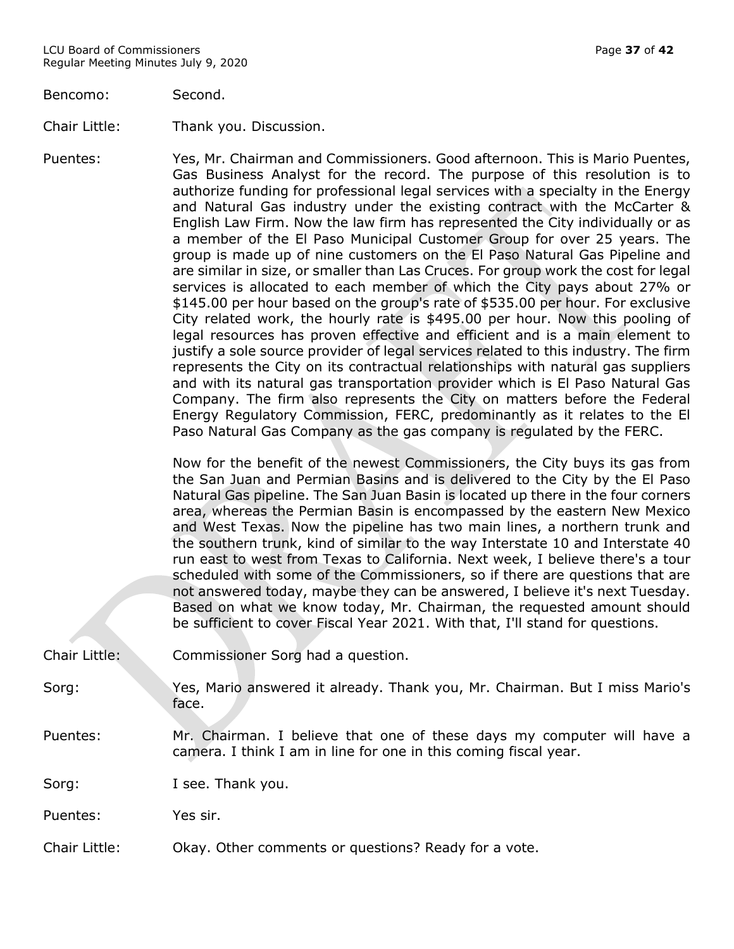Bencomo: Second.

Chair Little: Thank you. Discussion.

Puentes: Yes, Mr. Chairman and Commissioners. Good afternoon. This is Mario Puentes, Gas Business Analyst for the record. The purpose of this resolution is to authorize funding for professional legal services with a specialty in the Energy and Natural Gas industry under the existing contract with the McCarter & English Law Firm. Now the law firm has represented the City individually or as a member of the El Paso Municipal Customer Group for over 25 years. The group is made up of nine customers on the El Paso Natural Gas Pipeline and are similar in size, or smaller than Las Cruces. For group work the cost for legal services is allocated to each member of which the City pays about 27% or \$145.00 per hour based on the group's rate of \$535.00 per hour. For exclusive City related work, the hourly rate is \$495.00 per hour. Now this pooling of legal resources has proven effective and efficient and is a main element to justify a sole source provider of legal services related to this industry. The firm represents the City on its contractual relationships with natural gas suppliers and with its natural gas transportation provider which is El Paso Natural Gas Company. The firm also represents the City on matters before the Federal Energy Regulatory Commission, FERC, predominantly as it relates to the El Paso Natural Gas Company as the gas company is regulated by the FERC.

> Now for the benefit of the newest Commissioners, the City buys its gas from the San Juan and Permian Basins and is delivered to the City by the El Paso Natural Gas pipeline. The San Juan Basin is located up there in the four corners area, whereas the Permian Basin is encompassed by the eastern New Mexico and West Texas. Now the pipeline has two main lines, a northern trunk and the southern trunk, kind of similar to the way Interstate 10 and Interstate 40 run east to west from Texas to California. Next week, I believe there's a tour scheduled with some of the Commissioners, so if there are questions that are not answered today, maybe they can be answered, I believe it's next Tuesday. Based on what we know today, Mr. Chairman, the requested amount should be sufficient to cover Fiscal Year 2021. With that, I'll stand for questions.

Chair Little: Commissioner Sorg had a question.

Sorg: Yes, Mario answered it already. Thank you, Mr. Chairman. But I miss Mario's face.

Puentes: Mr. Chairman. I believe that one of these days my computer will have a camera. I think I am in line for one in this coming fiscal year.

Sorg: I see. Thank you.

Puentes: Yes sir.

Chair Little: Okay. Other comments or questions? Ready for a vote.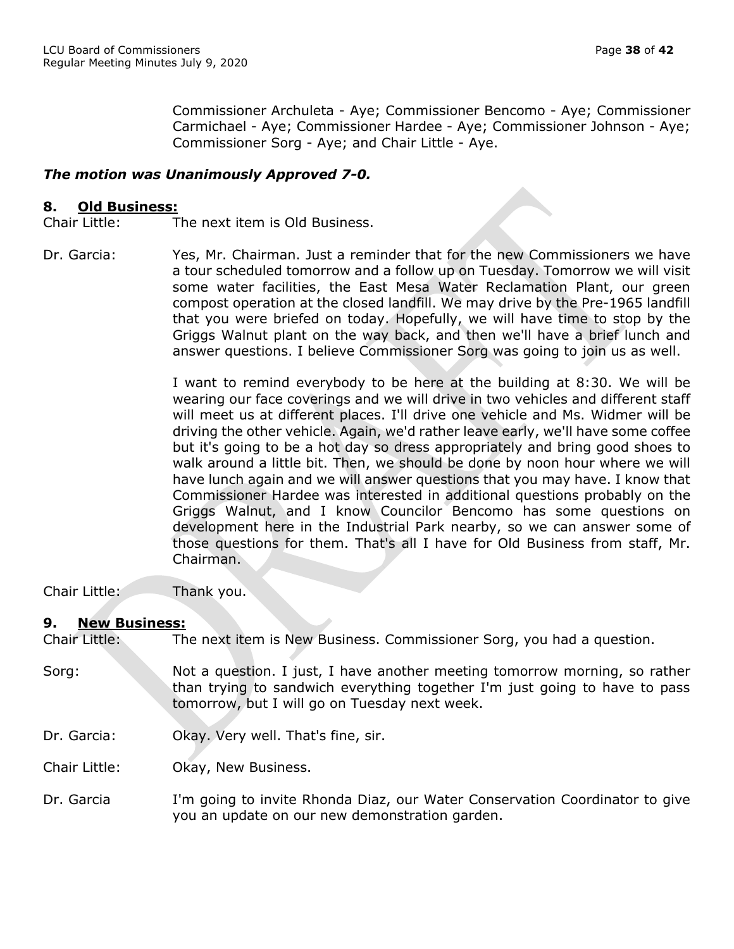Commissioner Archuleta - Aye; Commissioner Bencomo - Aye; Commissioner Carmichael - Aye; Commissioner Hardee - Aye; Commissioner Johnson - Aye; Commissioner Sorg - Aye; and Chair Little - Aye.

# *The motion was Unanimously Approved 7-0.*

## **8. Old Business:**

Chair Little: The next item is Old Business.

Dr. Garcia: Yes, Mr. Chairman. Just a reminder that for the new Commissioners we have a tour scheduled tomorrow and a follow up on Tuesday. Tomorrow we will visit some water facilities, the East Mesa Water Reclamation Plant, our green compost operation at the closed landfill. We may drive by the Pre-1965 landfill that you were briefed on today. Hopefully, we will have time to stop by the Griggs Walnut plant on the way back, and then we'll have a brief lunch and answer questions. I believe Commissioner Sorg was going to join us as well.

> I want to remind everybody to be here at the building at 8:30. We will be wearing our face coverings and we will drive in two vehicles and different staff will meet us at different places. I'll drive one vehicle and Ms. Widmer will be driving the other vehicle. Again, we'd rather leave early, we'll have some coffee but it's going to be a hot day so dress appropriately and bring good shoes to walk around a little bit. Then, we should be done by noon hour where we will have lunch again and we will answer questions that you may have. I know that Commissioner Hardee was interested in additional questions probably on the Griggs Walnut, and I know Councilor Bencomo has some questions on development here in the Industrial Park nearby, so we can answer some of those questions for them. That's all I have for Old Business from staff, Mr. Chairman.

Chair Little: Thank you.

#### **9. New Business:**

Chair Little: The next item is New Business. Commissioner Sorg, you had a question.

- Sorg: Not a question. I just, I have another meeting tomorrow morning, so rather than trying to sandwich everything together I'm just going to have to pass tomorrow, but I will go on Tuesday next week.
- Dr. Garcia: Okay. Very well. That's fine, sir.

Chair Little: Okay, New Business.

Dr. Garcia I'm going to invite Rhonda Diaz, our Water Conservation Coordinator to give you an update on our new demonstration garden.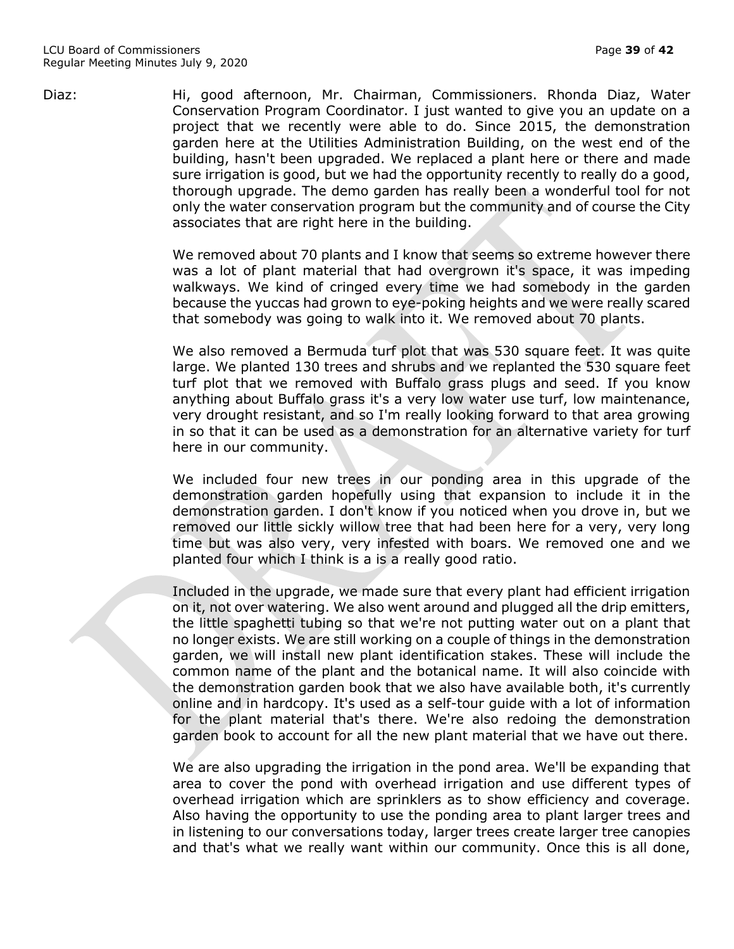Diaz: Hi, good afternoon, Mr. Chairman, Commissioners. Rhonda Diaz, Water Conservation Program Coordinator. I just wanted to give you an update on a project that we recently were able to do. Since 2015, the demonstration garden here at the Utilities Administration Building, on the west end of the building, hasn't been upgraded. We replaced a plant here or there and made sure irrigation is good, but we had the opportunity recently to really do a good, thorough upgrade. The demo garden has really been a wonderful tool for not only the water conservation program but the community and of course the City associates that are right here in the building.

> We removed about 70 plants and I know that seems so extreme however there was a lot of plant material that had overgrown it's space, it was impeding walkways. We kind of cringed every time we had somebody in the garden because the yuccas had grown to eye-poking heights and we were really scared that somebody was going to walk into it. We removed about 70 plants.

> We also removed a Bermuda turf plot that was 530 square feet. It was quite large. We planted 130 trees and shrubs and we replanted the 530 square feet turf plot that we removed with Buffalo grass plugs and seed. If you know anything about Buffalo grass it's a very low water use turf, low maintenance, very drought resistant, and so I'm really looking forward to that area growing in so that it can be used as a demonstration for an alternative variety for turf here in our community.

> We included four new trees in our ponding area in this upgrade of the demonstration garden hopefully using that expansion to include it in the demonstration garden. I don't know if you noticed when you drove in, but we removed our little sickly willow tree that had been here for a very, very long time but was also very, very infested with boars. We removed one and we planted four which I think is a is a really good ratio.

> Included in the upgrade, we made sure that every plant had efficient irrigation on it, not over watering. We also went around and plugged all the drip emitters, the little spaghetti tubing so that we're not putting water out on a plant that no longer exists. We are still working on a couple of things in the demonstration garden, we will install new plant identification stakes. These will include the common name of the plant and the botanical name. It will also coincide with the demonstration garden book that we also have available both, it's currently online and in hardcopy. It's used as a self-tour guide with a lot of information for the plant material that's there. We're also redoing the demonstration garden book to account for all the new plant material that we have out there.

> We are also upgrading the irrigation in the pond area. We'll be expanding that area to cover the pond with overhead irrigation and use different types of overhead irrigation which are sprinklers as to show efficiency and coverage. Also having the opportunity to use the ponding area to plant larger trees and in listening to our conversations today, larger trees create larger tree canopies and that's what we really want within our community. Once this is all done,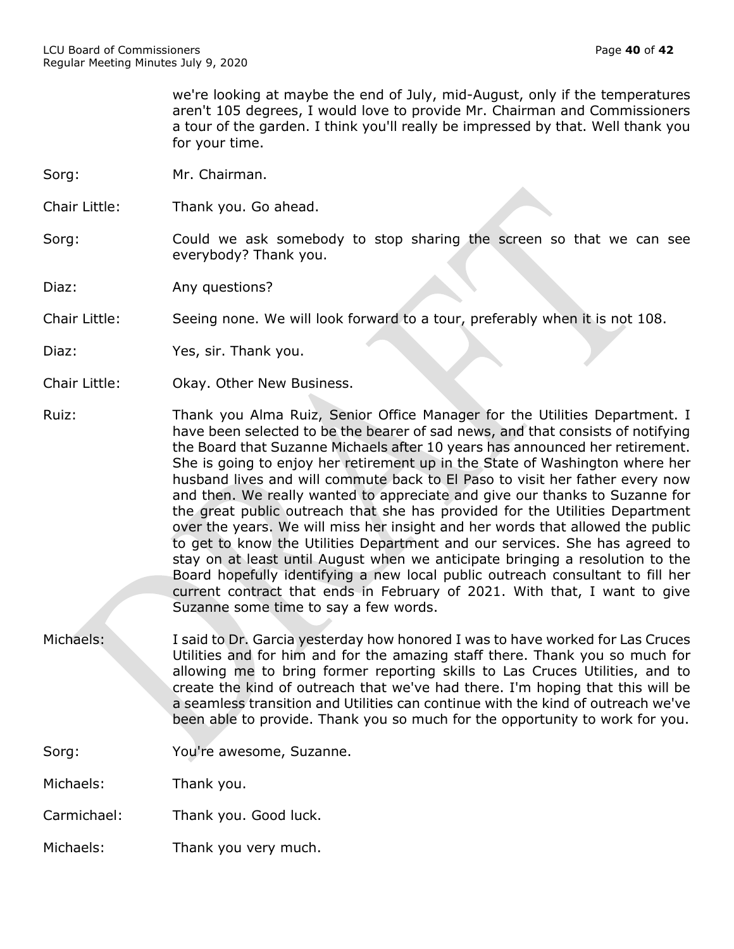we're looking at maybe the end of July, mid-August, only if the temperatures aren't 105 degrees, I would love to provide Mr. Chairman and Commissioners a tour of the garden. I think you'll really be impressed by that. Well thank you for your time.

- Sorg: Mr. Chairman.
- Chair Little: Thank you. Go ahead.
- Sorg: Sorg: Could we ask somebody to stop sharing the screen so that we can see everybody? Thank you.
- Diaz: Any questions?

Chair Little: Seeing none. We will look forward to a tour, preferably when it is not 108.

- Diaz: Yes, sir. Thank you.
- Chair Little: Okay. Other New Business.
- Ruiz: Thank you Alma Ruiz, Senior Office Manager for the Utilities Department. I have been selected to be the bearer of sad news, and that consists of notifying the Board that Suzanne Michaels after 10 years has announced her retirement. She is going to enjoy her retirement up in the State of Washington where her husband lives and will commute back to El Paso to visit her father every now and then. We really wanted to appreciate and give our thanks to Suzanne for the great public outreach that she has provided for the Utilities Department over the years. We will miss her insight and her words that allowed the public to get to know the Utilities Department and our services. She has agreed to stay on at least until August when we anticipate bringing a resolution to the Board hopefully identifying a new local public outreach consultant to fill her current contract that ends in February of 2021. With that, I want to give Suzanne some time to say a few words.
- Michaels: I said to Dr. Garcia yesterday how honored I was to have worked for Las Cruces Utilities and for him and for the amazing staff there. Thank you so much for allowing me to bring former reporting skills to Las Cruces Utilities, and to create the kind of outreach that we've had there. I'm hoping that this will be a seamless transition and Utilities can continue with the kind of outreach we've been able to provide. Thank you so much for the opportunity to work for you.

Sorg: You're awesome, Suzanne.

Michaels: Thank you.

Carmichael: Thank you. Good luck.

Michaels: Thank you very much.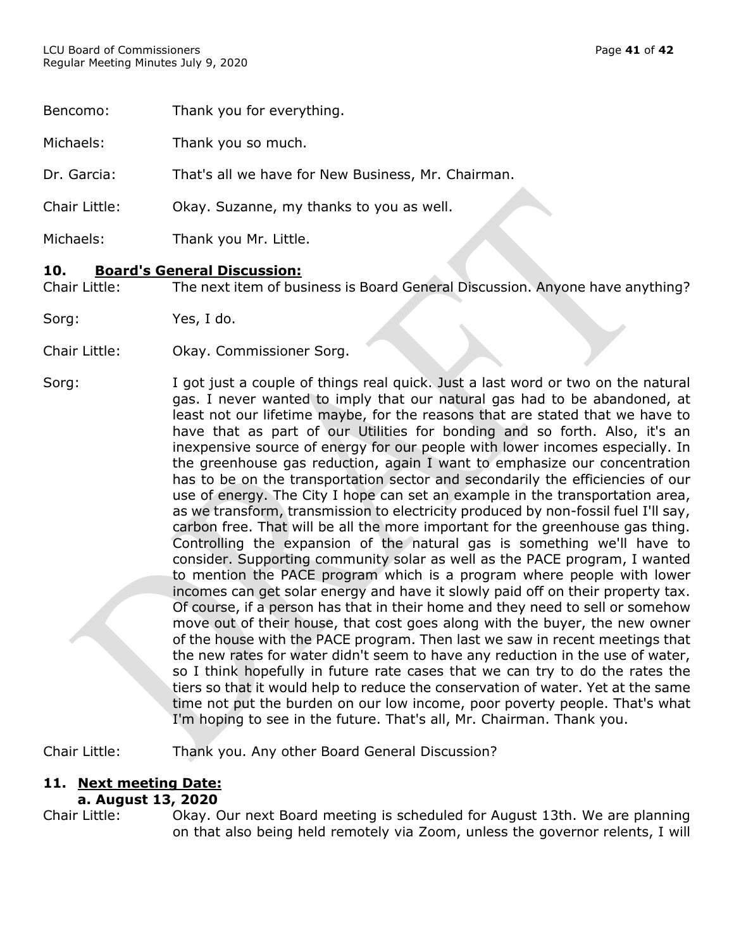| Bencomo:             | Thank you for everything.                          |
|----------------------|----------------------------------------------------|
| Michaels:            | Thank you so much.                                 |
| Dr. Garcia:          | That's all we have for New Business, Mr. Chairman. |
| <b>Chair Little:</b> | Okay. Suzanne, my thanks to you as well.           |
| Michaels:            | Thank you Mr. Little.                              |
|                      |                                                    |

## **10. Board's General Discussion:**

Chair Little: The next item of business is Board General Discussion. Anyone have anything?

Sorg: Yes, I do.

- Chair Little: Okay. Commissioner Sorg.
- Sorg: I got just a couple of things real quick. Just a last word or two on the natural gas. I never wanted to imply that our natural gas had to be abandoned, at least not our lifetime maybe, for the reasons that are stated that we have to have that as part of our Utilities for bonding and so forth. Also, it's an inexpensive source of energy for our people with lower incomes especially. In the greenhouse gas reduction, again I want to emphasize our concentration has to be on the transportation sector and secondarily the efficiencies of our use of energy. The City I hope can set an example in the transportation area, as we transform, transmission to electricity produced by non-fossil fuel I'll say, carbon free. That will be all the more important for the greenhouse gas thing. Controlling the expansion of the natural gas is something we'll have to consider. Supporting community solar as well as the PACE program, I wanted to mention the PACE program which is a program where people with lower incomes can get solar energy and have it slowly paid off on their property tax. Of course, if a person has that in their home and they need to sell or somehow move out of their house, that cost goes along with the buyer, the new owner of the house with the PACE program. Then last we saw in recent meetings that the new rates for water didn't seem to have any reduction in the use of water, so I think hopefully in future rate cases that we can try to do the rates the tiers so that it would help to reduce the conservation of water. Yet at the same time not put the burden on our low income, poor poverty people. That's what I'm hoping to see in the future. That's all, Mr. Chairman. Thank you.

Chair Little: Thank you. Any other Board General Discussion?

# **11. Next meeting Date:**

## **a. August 13, 2020**

Chair Little: Okay. Our next Board meeting is scheduled for August 13th. We are planning on that also being held remotely via Zoom, unless the governor relents, I will